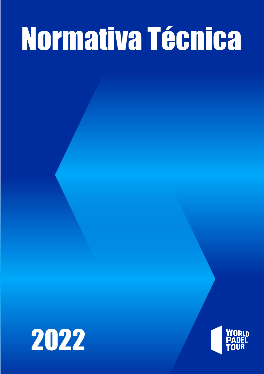# Normativa Técnica



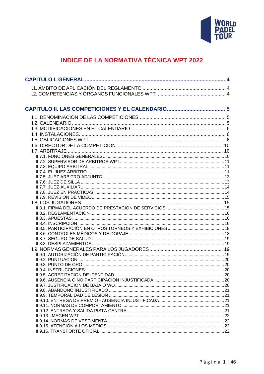

# **INDICE DE LA NORMATIVA TÉCNICA WPT 2022**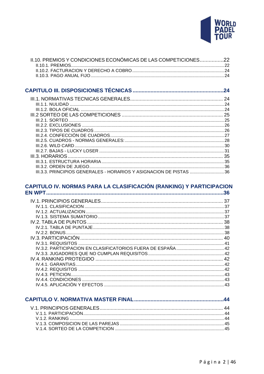

| II.10. PREMIOS Y CONDICIONES ECONÓMICAS DE LAS COMPETICIONES22 |  |
|----------------------------------------------------------------|--|
|                                                                |  |
|                                                                |  |
|                                                                |  |

|                                                                    | .24 |
|--------------------------------------------------------------------|-----|
|                                                                    |     |
|                                                                    |     |
|                                                                    |     |
|                                                                    |     |
|                                                                    |     |
|                                                                    |     |
|                                                                    |     |
|                                                                    |     |
|                                                                    |     |
|                                                                    |     |
|                                                                    |     |
|                                                                    |     |
|                                                                    |     |
|                                                                    |     |
| III.3.3. PRINCIPIOS GENERALES - HORARIOS Y ASIGNACION DE PISTAS 36 |     |

# 

| IV.2. TABLA DE PUNTOS | 38       |
|-----------------------|----------|
|                       |          |
|                       |          |
|                       |          |
|                       |          |
|                       |          |
|                       |          |
|                       | $\Delta$ |
|                       |          |
|                       |          |
|                       | 43       |
|                       | 43       |
|                       | 43       |

| V 1.2 RANKING 44 |  |
|------------------|--|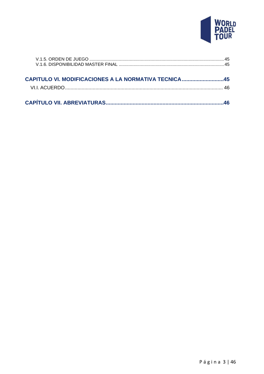

| <b>CAPITULO VI. MODIFICACIONES A LA NORMATIVA TECNICA 45</b> |  |
|--------------------------------------------------------------|--|
|                                                              |  |
|                                                              |  |
|                                                              |  |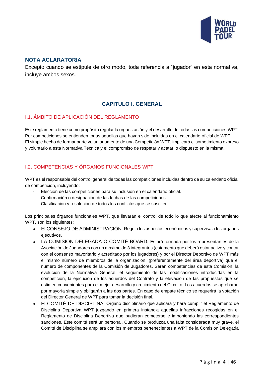

# **NOTA ACLARATORIA**

Excepto cuando se estipule de otro modo, toda referencia a "jugador" en esta normativa, incluye ambos sexos.

# **CAPITULO I. GENERAL**

# <span id="page-4-1"></span><span id="page-4-0"></span>I.1. ÁMBITO DE APLICACIÓN DEL REGLAMENTO

Este reglamento tiene como propósito regular la organización y el desarrollo de todas las competiciones WPT. Por competiciones se entienden todas aquellas que hayan sido incluidas en el calendario oficial de WPT. El simple hecho de formar parte voluntariamente de una Competición WPT, implicará el sometimiento expreso y voluntario a esta Normativa Técnica y el compromiso de respetar y acatar lo dispuesto en la misma.

# <span id="page-4-2"></span>I.2. COMPETENCIAS Y ÓRGANOS FUNCIONALES WPT

WPT es el responsable del control general de todas las competiciones incluidas dentro de su calendario oficial de competición, incluyendo:

- Elección de las competiciones para su inclusión en el calendario oficial.
- Confirmación o designación de las fechas de las competiciones.
- Clasificación y resolución de todos los conflictos que se susciten.

Los principales órganos funcionales WPT, que llevarán el control de todo lo que afecte al funcionamiento WPT, son los siguientes:

- El CONSEJO DE ADMINISTRACIÓN. Regula los aspectos económicos y supervisa a los órganos ejecutivos.
- LA COMISION DELEGADA O COMITÉ BOARD. Estará formada por los representantes de la Asociación de Jugadores con un máximo de 3 integrantes (estamento que deberá estar activo y contar con el consenso mayoritario y acreditado por los jugadores) y por el Director Deportivo de WPT más el mismo número de miembros de la organización, (preferentemente del área deportiva) que el número de componentes de la Comisión de Jugadores. Serán competencias de esta Comisión, la evolución de la Normativa General, el seguimiento de las modificaciones introducidas en la competición, la ejecución de los acuerdos del Contrato y la elevación de las propuestas que se estimen convenientes para el mejor desarrollo y crecimiento del Circuito. Los acuerdos se aprobarán por mayoría simple y obligarán a las dos partes. En caso de empate técnico se requerirá la votación del Director General de WPT para tomar la decisión final.
- El COMITÉ DE DISCIPLINA. Órgano disciplinario que aplicará y hará cumplir el Reglamento de Disciplina Deportiva WPT juzgando en primera instancia aquellas infracciones recogidas en el Reglamento de Disciplina Deportiva que pudieran cometerse e imponiendo las correspondientes sanciones. Este comité será unipersonal. Cuando se produzca una falta considerada muy grave, el Comité de Disciplina se ampliará con los miembros pertenecientes a WPT de la Comisión Delegada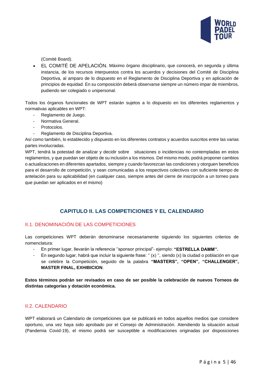

(Comité Board).

• EL COMITÉ DE APELACIÓN. Máximo órgano disciplinario, que conocerá, en segunda y última instancia, de los recursos interpuestos contra los acuerdos y decisiones del Comité de Disciplina Deportiva, al amparo de lo dispuesto en el Reglamento de Disciplina Deportiva y en aplicación de principios de equidad. En su composición deberá observarse siempre un número impar de miembros, pudiendo ser colegiado o unipersonal.

Todos los órganos funcionales de WPT estarán sujetos a lo dispuesto en los diferentes reglamentos y normativas aplicables en WPT:

- Reglamento de Juego.
- Normativa General.
- Protocolos.
- Reglamento de Disciplina Deportiva.

Así como también, lo establecido y dispuesto en los diferentes contratos y acuerdos suscritos entre las varias partes involucradas.

WPT, tendrá la potestad de analizar y decidir sobre situaciones o incidencias no contempladas en estos reglamentos, y que puedan ser objeto de su inclusión a los mismos. Del mismo modo, podrá proponer cambios o actualizaciones en diferentes apartados, siempre y cuando favorezcan las condiciones y otorguen beneficios para el desarrollo de competición, y sean comunicadas a los respectivos colectivos con suficiente tiempo de antelación para su aplicabilidad (en cualquier caso, siempre antes del cierre de inscripción a un torneo para que puedan ser aplicados en el mismo)

# **CAPITULO II. LAS COMPETICIONES Y EL CALENDARIO**

# <span id="page-5-1"></span><span id="page-5-0"></span>II.1. DENOMINACIÓN DE LAS COMPETICIONES

Las competiciones WPT deberán denominarse necesariamente siguiendo los siguientes criterios de nomenclatura:

- En primer lugar, llevarán la referencia ''sponsor principal"- ejemplo: **"ESTRELLA DAMM''.**
- En segundo lugar, habrá que incluir la siguiente frase: '' (x) '', siendo (x) la ciudad o población en que se celebre la Competición, seguido de la palabra **"MASTERS", "OPEN", "CHALLENGER", MASTER FINAL, EXHIBICION**.

**Estos términos podrán ser revisados en caso de ser posible la celebración de nuevos Torneos de distintas categorías y dotación económica.**

#### <span id="page-5-2"></span>II.2. CALENDARIO

WPT elaborará un Calendario de competiciones que se publicará en todos aquellos medios que considere oportuno, una vez haya sido aprobado por el Consejo de Administración. Atendiendo la situación actual (Pandemia Covid-19), el mismo podrá ser susceptible a modificaciones originadas por disposiciones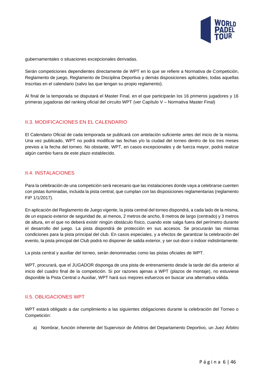

gubernamentales o situaciones excepcionales derivadas.

Serán competiciones dependientes directamente de WPT en lo que se refiere a Normativa de Competición, Reglamento de juego, Reglamento de Disciplina Deportiva y demás disposiciones aplicables, todas aquellas inscritas en el calendario (salvo las que tengan su propio reglamento).

Al final de la temporada se disputará el Master Final, en el que participarán los 16 primeros jugadores y 16 primeras jugadoras del ranking oficial del circuito WPT (ver Capítulo V – Normativa Master Final)

#### <span id="page-6-0"></span>II.3. MODIFICACIONES EN EL CALENDARIO

El Calendario Oficial de cada temporada se publicará con antelación suficiente antes del inicio de la misma. Una vez publicado, WPT no podrá modificar las fechas y/o la ciudad del torneo dentro de los tres meses previos a la fecha del torneo. No obstante, WPT, en casos excepcionales y de fuerza mayor, podrá realizar algún cambio fuera de este plazo establecido.

#### <span id="page-6-1"></span>II.4. INSTALACIONES

Para la celebración de una competición será necesario que las instalaciones donde vaya a celebrarse cuenten con pistas iluminadas, incluida la pista central, que cumplan con las disposiciones reglamentarias (reglamento FIP 1/1/2017).

En aplicación del Reglamento de Juego vigente, la pista central del torneo dispondrá, a cada lado de la misma, de un espacio exterior de seguridad de, al menos, 2 metros de ancho, 8 metros de largo (centrado) y 3 metros de altura, en el que no deberá existir ningún obstáculo físico, cuando este salga fuera del perímetro durante el desarrollo del juego. La pista dispondrá de protección en sus accesos. Se procurarán las mismas condiciones para la pista principal del club. En casos especiales, y a efectos de garantizar la celebración del evento, la pista principal del Club podrá no disponer de salida exterior, y ser out-door o indoor indistintamente.

La pista central y auxiliar del torneo, serán denominadas como las pistas oficiales de WPT.

WPT, procurará, que el JUGADOR disponga de una pista de entrenamiento desde la tarde del día anterior al inicio del cuadro final de la competición. Si por razones ajenas a WPT (plazos de montaje), no estuviese disponible la Pista Central o Auxiliar, WPT hará sus mejores esfuerzos en buscar una alternativa válida.

#### <span id="page-6-2"></span>II.5. OBLIGACIONES WPT

WPT estará obligado a dar cumplimiento a las siguientes obligaciones durante la celebración del Torneo o Competición:

a) Nombrar, función inherente del Supervisor de Árbitros del Departamento Deportivo, un Juez Árbitro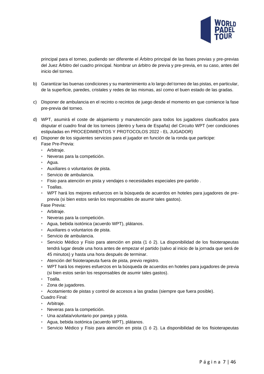

principal para el torneo, pudiendo ser diferente el Árbitro principal de las fases previas y pre-previas del Juez Árbitro del cuadro principal. Nombrar un árbitro de previa y pre-previa, en su caso, antes del inicio del torneo.

- b) Garantizar las buenas condiciones y su mantenimiento a lo largo del torneo de las pistas, en particular, de la superficie, paredes, cristales y redes de las mismas, así como el buen estado de las gradas.
- c) Disponer de ambulancia en el recinto o recintos de juego desde el momento en que comience la fase pre-previa del torneo.
- d) WPT, asumirá el coste de alojamiento y manutención para todos los jugadores clasificados para disputar el cuadro final de los torneos (dentro y fuera de España) del Circuito WPT (ver condiciones estipuladas en PROCEDIMIENTOS Y PROTOCOLOS 2022 - EL JUGADOR)
- e) Disponer de los siguientes servicios para el jugador en función de la ronda que participe: Fase Pre-Previa:
	- ‣ Arbitraje.
	- ‣ Neveras para la competición.
	- ‣ Agua.
	- ‣ Auxiliares o voluntarios de pista.
	- ‣ Servicio de ambulancia.
	- ‣ Fisio para atención en pista y vendajes o necesidades especiales pre-partido .
	- ‣ Toallas.
	- ‣ WPT hará los mejores esfuerzos en la búsqueda de acuerdos en hoteles para jugadores de preprevia (si bien estos serán los responsables de asumir tales gastos).

Fase Previa:

- ‣ Arbitraje.
- ‣ Neveras para la competición.
- ‣ Agua, bebida isotónica (acuerdo WPT), plátanos.
- ‣ Auxiliares o voluntarios de pista.
- ‣ Servicio de ambulancia.
- ‣ Servicio Médico y Fisio para atención en pista (1 ó 2). La disponibilidad de los fisioterapeutas tendrá lugar desde una hora antes de empezar el partido (salvo al inicio de la jornada que será de 45 minutos) y hasta una hora después de terminar.
- ‣ Atención del fisioterapeuta fuera de pista, previo registro.
- ‣ WPT hará los mejores esfuerzos en la búsqueda de acuerdos en hoteles para jugadores de previa (si bien estos serán los responsables de asumir tales gastos).
- ‣ Toalla.
- ‣ Zona de jugadores.
- ‣ Acotamiento de pistas y control de accesos a las gradas (siempre que fuera posible).
- Cuadro Final:
- ‣ Arbitraje.
- ‣ Neveras para la competición.
- ‣ Una azafata/voluntario por pareja y pista.
- ‣ Agua, bebida isotónica (acuerdo WPT), plátanos.
- ‣ Servicio Médico y Fisio para atención en pista (1 ó 2). La disponibilidad de los fisioterapeutas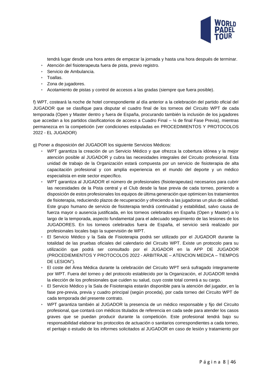

tendrá lugar desde una hora antes de empezar la jornada y hasta una hora después de terminar.

- ‣ Atención del fisioterapeuta fuera de pista, previo registro.
- ‣ Servicio de Ambulancia.
- ‣ Toallas.
- ‣ Zona de jugadores.
- ‣ Acotamiento de pistas y control de accesos a las gradas (siempre que fuera posible).

f) WPT, costeará la noche de hotel correspondiente al día anterior a la celebración del partido oficial del JUGADOR que se clasifique para disputar el cuadro final de los torneos del Circuito WPT de cada temporada (Open y Master dentro y fuera de España, procurando también la inclusión de los jugadores que accedan a los partidos clasificatorios de acceso a Cuadro Final – ¼ de final Fase Previa), mientras permanezca en la competición (ver condiciones estipuladas en PROCEDIMIENTOS Y PROTOCOLOS 2022 - EL JUGADOR)

g) Poner a disposición del JUGADOR los siguiente Servicios Médicos:

- ‣ WPT garantiza la creación de un Servicio Médico y que ofrezca la cobertura idónea y la mejor atención posible al JUGADOR y cubra las necesidades integrales del Circuito profesional. Esta unidad de trabajo de la Organización estará compuesta por un servicio de fisioterapia de alta capacitación profesional y con amplia experiencia en el mundo del deporte y un médico especialista en este sector específico.
- ‣ WPT garantiza al JUGADOR el número de profesionales (fisioterapeutas) necesarios para cubrir las necesidades de la Pista central y el Club desde la fase previa de cada torneo, poniendo a disposición de estos profesionales los equipos de última generación que optimicen los tratamientos de fisioterapia, reduciendo plazos de recuperación y ofreciendo a las jugadoras un plus de calidad. Este grupo humano de servicio de fisioterapia tendrá continuidad y estabilidad, salvo causa de fuerza mayor o ausencia justificada, en los torneos celebrados en España (Open y Master) a lo largo de la temporada, aspecto fundamental para el adecuado seguimiento de las lesiones de los JUGADORES. En los torneos celebrados fuera de España, el servicio será realizado por profesionales locales bajo la supervisión de WPT.
- ‣ El Servicio Médico y la Sala de Fisioterapia podrá ser utilizado por el JUGADOR durante la totalidad de las pruebas oficiales del calendario del Circuito WPT. Existe un protocolo para su utilización que podrá ser consultado por el JUGADOR en la APP DE JUGADOR (PROCEDIEMIENTOS Y PROTOCOLOS 2022 - ARBITRAJE – ATENCION MEDICA – TIEMPOS DE LESION").
- ‣ El coste del Área Médica durante la celebración del Circuito WPT será sufragado íntegramente por WPT. Fuera del torneo y del protocolo establecido por la Organización, el JUGADOR tendrá la elección de los profesionales que cuiden su salud, cuyo coste total correrá a su cargo.
- ‣ El Servicio Médico y la Sala de Fisioterapia estarán disponible para la atención del jugador, en la fase pre-previa, previa y cuadro principal (según proceda), por cada torneo del Circuito WPT de cada temporada del presente contrato.
- ‣ WPT garantiza también al JUGADOR la presencia de un médico responsable y fijo del Circuito profesional, que contará con médicos titulados de referencia en cada sede para atender los casos graves que se puedan producir durante la competición. Este profesional tendrá bajo su responsabilidad elaborar los protocolos de actuación o sanitarios correspondientes a cada torneo, el peritaje o estudio de los informes solicitados al JUGADOR en caso de lesión y tratamiento por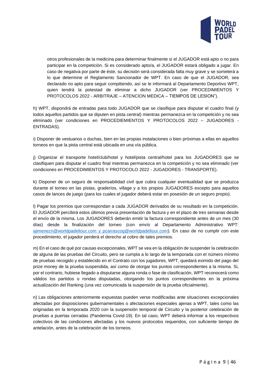

otros profesionales de la medicina para determinar finalmente si el JUGADOR está apto o no para participar en la competición. Si es considerado apto/a, el JUGADOR estará obligado a jugar. En caso de negativa por parte de éste, su decisión será considerada falta muy grave y se someterá a lo que determine el Reglamento Sancionador de WPT. En caso de que el JUGADOR, sea declarado no apto para seguir compitiendo, así se le informará al Departamento Deportivo WPT, quien tendrá la potestad de eliminar a dicho JUGADOR (ver PROCEDIMIENTOS Y PROTOCOLOS 2022 - ARBITRAJE – ATENCION MEDICA – TIEMPOS DE LESION").

h) WPT, dispondrá de entradas para todo JUGADOR que se clasifique para disputar el cuadro final (y todos aquellos partidos que se diputen en pista central) mientras permanezca en la competición y no sea eliminado (ver condiciones en PROCEDIEMIENTOS Y PROTOCOLOS 2022 – JUGADORES - ENTRADAS).

i) Disponer de vestuarios o duchas, bien en las propias instalaciones o bien próximas a ellas en aquellos torneos en que la pista central está ubicada en una vía pública.

j) Organizar el transporte hotel/club/hotel y hotel/pista central/hotel para los JUGADORES que se clasifiquen para disputar el cuadro final mientras permanezca en la competición y no sea eliminado (ver condiciones en PROCEDIMIENTOS Y PROTOCOLO 2022 - JUGADORES - TRANSPORTE).

k) Disponer de un seguro de responsabilidad civil que cubra cualquier eventualidad que se produzca durante el torneo en las pistas, graderíos, village y a los propios JUGADORES excepto para aquellos casos de lances de juego (para los cuales el jugador deberá estar en posesión de un seguro propio).

l) Pagar los premios que correspondan a cada JUGADOR derivados de su resultado en la competición. El JUGADOR percibirá estos últimos previa presentación de factura y en el plazo de tres semanas desde el envío de la misma. Los JUGADORES deberán emitir la factura correspondiente antes de un mes (30 días) desde la finalización del torneo (con envío al Departamento Administrativo WPT: [ajimenezn@worldpadeltour.com](mailto:ajimenezn@worldpadeltour.com) y pcarrascog@worldpadeltour.com). En caso de no cumplir con este procedimiento, el jugador perderá el derecho al cobro de tales premios.

m) En el caso de qué por causas excepcionales, WPT se vea en la obligación de suspender la celebración de alguna de las pruebas del Circuito, pero se cumpla a lo largo de la temporada con el número mínimo de pruebas recogido y establecido en el Contrato con los jugadores, WPT, quedará eximido del pago del prize money de la prueba suspendida, así como de otorgar los puntos correspondientes a la misma. Si, por el contrario, hubiese llegado a disputarse alguna ronda o fase de clasificación, WPT reconocerá como válidos los partidos o rondas disputadas, otorgando los puntos correspondientes en la próxima actualización del Ranking (una vez comunicada la suspensión de la prueba oficialmente).

n) Las obligaciones anteriormente expuestas pueden verse modificadas ante situaciones excepcionales afectadas por disposiciones gubernamentales o afectaciones especiales ajenas a WPT, tales como las originadas en la temporada 2020 con la suspensión temporal de Circuito y la posterior celebración de pruebas a puertas cerradas (Pandemia Covid-19). En tal caso, WPT deberá informar a los respectivos colectivos de las condiciones afectadas y los nuevos protocolos requeridos, con suficiente tiempo de antelación, antes de la celebración de los torneos.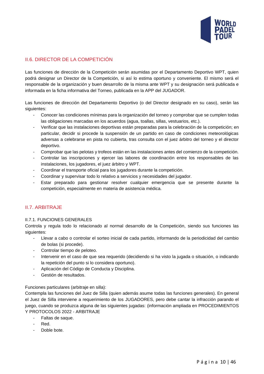

# <span id="page-10-0"></span>II.6. DIRECTOR DE LA COMPETICIÓN

Las funciones de dirección de la Competición serán asumidas por el Departamento Deportivo WPT, quien podrá designar un Director de la Competición, si así lo estima oportuno y conveniente. El mismo será el responsable de la organización y buen desarrollo de la misma ante WPT y su designación será publicada e informada en la ficha informativa del Torneo, publicada en la APP del JUGADOR.

Las funciones de dirección del Departamento Deportivo (o del Director designado en su caso), serán las siguientes:

- Conocer las condiciones mínimas para la organización del torneo y comprobar que se cumplen todas las obligaciones marcadas en los acuerdos (agua, toallas, sillas, vestuarios, etc.).
- Verificar que las instalaciones deportivas están preparadas para la celebración de la competición; en particular, decidir si procede la suspensión de un partido en caso de condiciones meteorológicas adversas a celebrarse en pista no cubierta, tras consulta con el juez árbitro del torneo y el director deportivo.
- Comprobar que las pelotas y trofeos están en las instalaciones antes del comienzo de la competición.
- Controlar las inscripciones y ejercer las labores de coordinación entre los responsables de las instalaciones, los jugadores, el juez árbitro y WPT.
- Coordinar el transporte oficial para los jugadores durante la competición.
- Coordinar y supervisar todo lo relativo a servicios y necesidades del jugador.
- Estar preparado para gestionar resolver cualquier emergencia que se presente durante la competición, especialmente en materia de asistencia médica.

#### <span id="page-10-1"></span>II.7. ARBITRAJE

#### <span id="page-10-2"></span>II.7.1. FUNCIONES GENERALES

Controla y regula todo lo relacionado al normal desarrollo de la Competición, siendo sus funciones las siguientes:

- Llevar a cabo o controlar el sorteo inicial de cada partido, informando de la periodicidad del cambio de bolas (si procede).
- Controlar tiempo de peloteo.
- Intervenir en el caso de que sea requerido (decidiendo si ha visto la jugada o situación, o indicando la repetición del punto si lo considera oportuno).
- Aplicación del Código de Conducta y Disciplina.
- Gestión de resultados.

#### Funciones particulares (arbitraje en silla):

Contempla las funciones del Juez de Silla (quien además asume todas las funciones generales). En general el Juez de Silla interviene a requerimiento de los JUGADORES, pero debe cantar la infracción parando el juego, cuando se produzca alguna de las siguientes jugadas: (información ampliada en PROCEDIMIENTOS Y PROTOCOLOS 2022 - ARBITRAJE

- Faltas de saque.
- Red.
- Doble bote.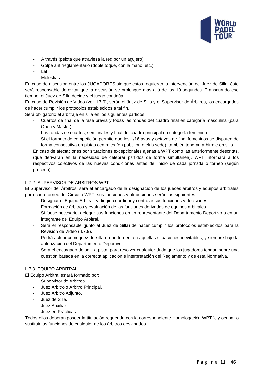

- A través (pelota que atraviesa la red por un agujero).
- Golpe antirreglamentario (doble toque, con la mano, etc.).
- Let.
- Molestias.

En caso de discusión entre los JUGADORES sin que estos requieran la intervención del Juez de Silla, éste será responsable de evitar que la discusión se prolongue más allá de los 10 segundos. Transcurrido ese tiempo, el Juez de Silla decide y el juego continúa.

En caso de Revisión de Video (ver II.7.9), serán el Juez de Silla y el Supervisor de Árbitros, los encargados de hacer cumplir los protocolos establecidos a tal fin.

Será obligatorio el arbitraje en silla en los siguientes partidos:

- Cuartos de final de la fase previa y todas las rondas del cuadro final en categoría masculina (para Open y Master).
- Las rondas de cuartos, semifinales y final del cuadro principal en categoría femenina.
- Si el formato de competición permite que los 1/16 avos y octavos de final femeninos se disputen de forma consecutiva en pistas centrales (en pabellón o club sede), también tendrán arbitraje en silla.

En caso de afectaciones por situaciones excepcionales ajenas a WPT como las anteriormente descritas, (que derivaran en la necesidad de celebrar partidos de forma simultánea), WPT informará a los respectivos colectivos de las nuevas condiciones antes del inicio de cada jornada o torneo (según proceda).

#### <span id="page-11-0"></span>II.7.2. SUPERVISOR DE ARBITROS WPT

El Supervisor del Árbitros, será el encargado de la designación de los jueces árbitros y equipos arbitrales para cada torneo del Circuito WPT, sus funciones y atribuciones serán las siguientes:

- Designar el Equipo Arbitral, y dirigir, coordinar y controlar sus funciones y decisiones.
- Formación de árbitros y evaluación de las funciones derivadas de equipos arbitrales.
- Si fuese necesario, delegar sus funciones en un representante del Departamento Deportivo o en un integrante del Equipo Arbitral.
- Será el responsable (junto al Juez de Silla) de hacer cumplir los protocolos establecidos para la Revisión de Vídeo (II.7.9).
- Podrá actuar como juez de silla en un torneo, en aquellas situaciones inevitables, y siempre bajo la autorización del Departamento Deportivo.
- Será el encargado de salir a pista, para resolver cualquier duda que los jugadores tengan sobre una cuestión basada en la correcta aplicación e interpretación del Reglamento y de esta Normativa.

#### <span id="page-11-1"></span>II.7.3. EQUIPO ARBITRAL

El Equipo Arbitral estará formado por:

- Supervisor de Árbitros.
- Juez Árbitro o Arbitro Principal.
- Juez Árbitro Adjunto.
- Juez de Silla.
- Juez Auxiliar.
- Juez en Prácticas.

Todos ellos deberán poseer la titulación requerida con la correspondiente Homologación WPT ), y ocupar o sustituir las funciones de cualquier de los árbitros designados.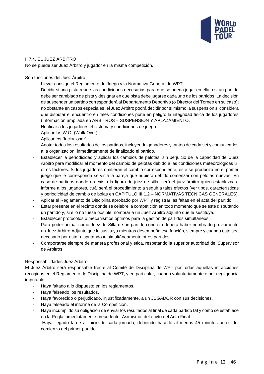

#### <span id="page-12-0"></span>II.7.4. EL JUEZ ÁRBITRO

No se puede ser Juez Árbitro y jugador en la misma competición.

Son funciones del Juez Árbitro:

- Llevar consigo el Reglamento de Juego y la Normativa General de WPT.
- Decidir si una pista reúne las condiciones necesarias para que se pueda jugar en ella o si un partido debe ser cambiado de pista y designar en que pista debe jugarse cada uno de los partidos. La decisión de suspender un partido corresponderá al Departamento Deportivo (o Director del Torneo en su caso); no obstante en casos especiales, el Juez Árbitro podrá decidir por sí mismo la suspensión si considera que disputar el encuentro en tales condiciones pone en peligro la integridad física de los jugadores (Información ampliada en ARBITROS – SUSPENSION Y APLAZAMIENTO.
- Notificar a los jugadores el sistema y condiciones de juego.
- Aplicar los W.O. (Walk Over).
- Aplicar los "lucky loser".
- Anotar todos los resultados de los partidos, incluyendo ganadores y tanteo de cada set y comunicarlos a la organización, inmediatamente de finalizado el partido.
- Establecer la periodicidad y aplicar los cambios de pelotas, sin perjuicio de la capacidad del Juez Arbitro para modificar el momento del cambio de pelotas debido a las condiciones meteorológicas u otros factores. Si los jugadores omitieran el cambio correspondiente, éste se producirá en el primer juego que le corresponda servir a la pareja que hubiera debido comenzar con pelotas nuevas. En caso de partidos donde no exista la figura de juez de silla, será el juez árbitro quien establezca e informe a los jugadores, cuál será el procedimiento a seguir a tales efectos (ver tipos, características y periodicidad de cambio de bolas en CAPITULO III.1.2 – NORMATIVAS TECNICAS GENERALES).
- Aplicar el Reglamento de Disciplina aprobado por WPT y registrar las faltas en el acta del partido.
- Estar presente en el recinto donde se celebre la competición en todo momento que se esté disputando un partido y, si ello no fuese posible, nombrar a un Juez Arbitro adjunto que le sustituya.
- Establecer protocolos o mecanismos óptimos para la gestión de partidos simultáneos.
- Para poder actuar como Juez de Silla de un partido concreto deberá haber nombrado previamente un Juez Arbitro Adjunto que le sustituya mientras desempeña esa función, siempre y cuando esto sea necesario por estar disputándose simultáneamente otros partidos.
- Comportarse siempre de manera profesional y ética, respetando la superior autoridad del Supervisor de Árbitros.

#### Responsabilidades Juez Árbitro:

El Juez Árbitro será responsable frente al Comité de Disciplina de WPT por todas aquellas infracciones recogidas en el Reglamento de Disciplina de WPT, y en particular, cuando voluntariamente o por negligencia imputable:

- Haya faltado a lo dispuesto en los reglamentos.
- Haya falseado los resultados.
- Haya favorecido o perjudicado, injustificadamente, a un JUGADOR con sus decisiones.
- Haya falseado el informe de la Competición.
- Haya incumplido su obligación de enviar los resultados al final de cada partido tal y como se establece en la Regla inmediatamente precedente. Asimismo, del envío del Acta Final.
- Haya llegado tarde al inicio de cada jornada, debiendo hacerlo al menos 45 minutos antes del comienzo del primer partido.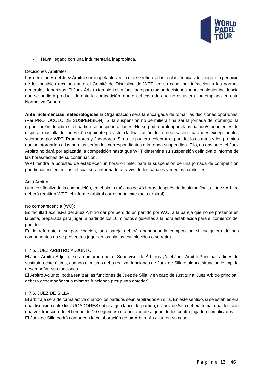

- Haya llegado con una indumentaria inapropiada.

#### Decisiones Arbitrales:

Las decisiones del Juez Árbitro son inapelables en lo que se refiere a las reglas técnicas del juego, sin perjuicio de los posibles recursos ante el Comité de Disciplina de WPT, en su caso, por infracción a las normas generales deportivas. El Juez Árbitro también está facultado para tomar decisiones sobre cualquier incidencia que se pudiera producir durante la competición, aun en el caso de que no estuviera contemplada en esta Normativa General.

**Ante inclemencias meteorológicas** la Organización será la encargada de tomar las decisiones oportunas. (Ver PROTOCOLO DE SUSPENSION). Si la suspensión no permitiera finalizar la jornada del domingo, la organización decidirá si el partido se pospone al lunes. No se podrá prolongar el/los partido/s pendientes de disputar más allá del lunes (día siguiente previsto a la finalización del torneo) salvo situaciones excepcionales valoradas por WPT, Promotores y Jugadores. Si no se pudiera celebrar el partido, los puntos y los premios que se otorgarían a las parejas serían los correspondientes a la ronda suspendida. Ello, no obstante, el Juez Árbitro no dará por aplazada la competición hasta que WPT determine su suspensión definitiva o informe de las horas/fechas de su continuación.

WPT tendrá la potestad de establecer un horario límite, para la suspensión de una jornada de competición por dichas inclemencias, el cual será informado a través de los canales y medios habituales.

#### Acta Arbitral:

Una vez finalizada la competición, en el plazo máximo de 48 horas después de la última final, el Juez Árbitro deberá remitir a WPT, el informe arbitral correspondiente (acta arbitral).

#### No comparecencia (WO):

Es facultad exclusiva del Juez Árbitro dar por perdido un partido por W.O. a la pareja que no se presente en la pista, preparada para jugar, a partir de los 10 minutos siguientes a la hora establecida para el comienzo del partido.

En lo referente a su participación, una pareja deberá abandonar la competición si cualquiera de sus componentes no se presenta a jugar en los plazos establecidos o se retira.

#### <span id="page-13-0"></span>II.7.5. JUEZ ARBITRO ADJUNTO

El Juez Arbitro Adjunto, será nombrado por el Supervisor de Árbitros y/o el Juez Arbitro Principal, a fines de sustituir a este último, cuando el mismo deba realizar funciones de Juez de Silla o alguna situación le impida desempeñar sus funciones.

El Arbitro Adjunto, podrá realizar las funciones de Juez de Silla, y en caso de sustituir al Juez Arbitro principal, deberá desempeñar sus mismas funciones (ver punto anterior).

#### <span id="page-13-1"></span>II.7.6. JUEZ DE SILLA

El arbitraje será de forma activa cuando los partidos sean arbitrados en silla. En este sentido, si se estableciera una discusión entre los JUGADORES sobre algún lance del partido, el Juez de Silla deberá tomar una decisión una vez transcurrido el tiempo de 10 segundos) o a petición de alguno de los cuatro jugadores implicados. El Juez de Silla podrá contar con la colaboración de un Árbitro Auxiliar, en su caso.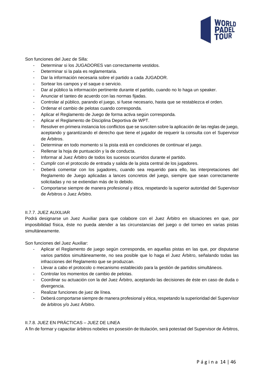

Son funciones del Juez de Silla:

- Determinar si los JUGADORES van correctamente vestidos.
- Determinar si la pala es reglamentaria.
- Dar la información necesaria sobre el partido a cada JUGADOR.
- Sortear los campos y el saque o servicio.
- Dar al público la información pertinente durante el partido, cuando no lo haga un speaker.
- Anunciar el tanteo de acuerdo con las normas fijadas.
- Controlar al público, parando el juego, si fuese necesario, hasta que se restablezca el orden.
- Ordenar el cambio de pelotas cuando corresponda.
- Aplicar el Reglamento de Juego de forma activa según corresponda.
- Aplicar el Reglamento de Disciplina Deportiva de WPT.
- Resolver en primera instancia los conflictos que se susciten sobre la aplicación de las reglas de juego, aceptando y garantizando el derecho que tiene el jugador de requerir la consulta con el Supervisor de Árbitros.
- Determinar en todo momento si la pista está en condiciones de continuar el juego.
- Rellenar la hoja de puntuación y la de conducta.
- Informar al Juez Árbitro de todos los sucesos ocurridos durante el partido.
- Cumplir con el protocolo de entrada y salida de la pista central de los jugadores.
- Deberá comentar con los jugadores, cuando sea requerido para ello, las interpretaciones del Reglamento de Juego aplicadas a lances concretos del juego, siempre que sean correctamente solicitadas y no se extiendan más de lo debido.
- Comportarse siempre de manera profesional y ética, respetando la superior autoridad del Supervisor de Árbitros o Juez Árbitro.

#### <span id="page-14-0"></span>II.7.7. JUEZ AUXILIAR

Podrá designarse un Juez Auxiliar para que colabore con el Juez Árbitro en situaciones en que, por imposibilidad física, éste no pueda atender a las circunstancias del juego o del torneo en varias pistas simultáneamente.

Son funciones del Juez Auxiliar:

- Aplicar el Reglamento de juego según corresponda, en aquellas pistas en las que, por disputarse varios partidos simultáneamente, no sea posible que lo haga el Juez Árbitro, señalando todas las infracciones del Reglamento que se produzcan.
- Llevar a cabo el protocolo o mecanismo establecido para la gestión de partidos simultáneos.
- Controlar los momentos de cambio de pelotas.
- Coordinar su actuación con la del Juez Árbitro, aceptando las decisiones de éste en caso de duda o divergencia.
- Realizar funciones de juez de línea.
- Deberá comportarse siempre de manera profesional y ética, respetando la superioridad del Supervisor de árbitros y/o Juez Árbitro.

#### <span id="page-14-1"></span>II.7.8. JUEZ EN PRÁCTICAS – JUEZ DE LINEA

A fin de formar y capacitar árbitros nobeles en posesión de titulación, será potestad del Supervisor de Árbitros,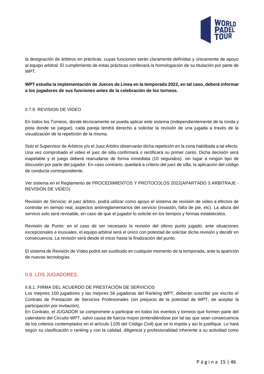

la designación de árbitros en prácticas, cuyas funciones serán claramente definidas y únicamente de apoyo al equipo arbitral. El cumplimiento de estas prácticas conllevará la homologación de su titulación por parte de **WPT** 

**WPT estudia la implementación de Jueces de Línea en la temporada 2022, en tal caso, deberá informar a los jugadores de sus funciones antes de la celebración de los torneos.**

#### <span id="page-15-0"></span>II.7.9. REVISION DE VIDEO

En todos los Torneos, donde técnicamente se pueda aplicar este sistema (independientemente de la ronda y pista donde se juegue), cada pareja tendrá derecho a solicitar la revisión de una jugada a través de la visualización de la repetición de la misma.

Solo el Supervisor de Árbitros y/o el Juez Árbitro observarán dicha repetición en la zona habilitada a tal efecto. Una vez comprobado el video el juez de silla confirmará o rectificará su primer canto. Dicha decisión será inapelable y el juego deberá reanudarse de forma inmediata (10 segundos), sin lugar a ningún tipo de discusión por parte del jugador. En caso contrario, quedará a criterio del juez de silla, la aplicación del código de conducta correspondiente.

Ver sistema en el Reglamento de PROCEDIMIENTOS Y PROTOCOLOS 2022(APARTADO 3 ARBITRAJE - REVISIÓN DE VIDEO)

Revisión de Servicio: el juez árbitro, podrá utilizar como apoyo el sistema de revisión de video a efectos de controlar en tiempo real, aspectos antirreglamentarios del servicio (invasión, falta de pie, etc). La altura del servicio solo será revisable, en caso de que el jugador lo solicite en los tiempos y formas establecidos.

Revisión de Punto: en el caso de ser necesario la revisión del último punto jugado, ante situaciones excepcionales e inusuales, el equipo arbitral será el único con potestad de solicitar dicha revisión y decidir en consecuencia. La revisión será desde el inicio hasta la finalización del punto.

El sistema de Revisión de Vídeo podrá ser sustituido en cualquier momento de la temporada, ante la aparición de nuevas tecnologías.

#### <span id="page-15-1"></span>II.8. LOS JUGADORES.

#### <span id="page-15-2"></span>II.8.1. FIRMA DEL ACUERDO DE PRESTACIÓN DE SERVICIOS

Los mejores 100 jugadores y las mejores 56 jugadoras del Ranking WPT, deberán suscribir por escrito el Contrato de Prestación de Servicios Profesionales (sin prejuicio de la potestad de WPT, de aceptar la participación por invitación).

En Contrato, el JUGADOR se compromete a participar en todos los eventos y torneos que formen parte del calendario del Circuito WPT, salvo causa de fuerza mayor (entendiéndose por tal las que sean consecuencia de los criterios contemplados en el artículo 1105 del Código Civil) que se lo impida y así lo justifique. Lo hará según su clasificación o ranking y con la calidad, diligencia y profesionalidad inherente a su actividad como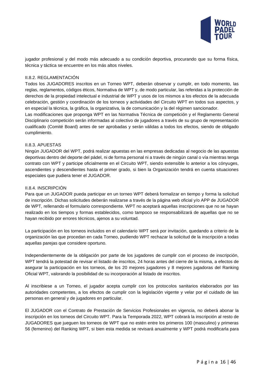

jugador profesional y del modo más adecuado a su condición deportiva, procurando que su forma física, técnica y táctica se encuentre en los más altos niveles.

#### <span id="page-16-0"></span>II.8.2. REGLAMENTACIÓN

Todos los JUGADORES inscritos en un Torneo WPT, deberán observar y cumplir, en todo momento, las reglas, reglamentos, códigos éticos, Normativa de WPT y, de modo particular, las referidas a la protección de derechos de la propiedad intelectual e industrial de WPT y usos de los mismos a los efectos de la adecuada celebración, gestión y coordinación de los torneos y actividades del Circuito WPT en todos sus aspectos, y en especial la técnica, la gráfica, la organizativa, la de comunicación y la del régimen sancionador.

Las modificaciones que proponga WPT en las Normativa Técnica de competición y el Reglamento General Disciplinario competición serán informadas al colectivo de jugadores a través de su grupo de representación cualificado (Comité Board) antes de ser aprobadas y serán válidas a todos los efectos, siendo de obligado cumplimiento.

#### <span id="page-16-1"></span>II.8.3. APUESTAS

Ningún JUGADOR del WPT, podrá realizar apuestas en las empresas dedicadas al negocio de las apuestas deportivas dentro del deporte del pádel, ni de forma personal ni a través de ningún canal o vía mientras tenga contrato con WPT y participe oficialmente en el Circuito WPT, siendo extensible lo anterior a los cónyuges, ascendientes y descendientes hasta el primer grado, si bien la Organización tendrá en cuenta situaciones especiales que pudiera tener el JUGADOR.

#### <span id="page-16-2"></span>II.8.4. INSCRIPCIÓN

Para que un JUGADOR pueda participar en un torneo WPT deberá formalizar en tiempo y forma la solicitud de inscripción. Dichas solicitudes deberán realizarse a través de la página web oficial y/o APP de JUGADOR de WPT, rellenando el formulario correspondiente. WPT no aceptará aquellas inscripciones que no se hayan realizado en los tiempos y formas establecidos, como tampoco se responsabilizará de aquellas que no se hayan recibido por errores técnicos, ajenos a su voluntad.

La participación en los torneos incluidos en el calendario WPT será por invitación, quedando a criterio de la organización las que procedan en cada Torneo, pudiendo WPT rechazar la solicitud de la inscripción a todas aquellas parejas que considere oportuno.

Independientemente de la obligación por parte de los jugadores de cumplir con el proceso de inscripción, WPT tendrá la potestad de revisar el listado de inscritos, 24 horas antes del cierre de la misma, a efectos de asegurar la participación en los torneos, de los 20 mejores jugadores y 8 mejores jugadoras del Ranking Oficial WPT, valorando la posibilidad de su incorporación al listado de inscritos.

Al inscribiese a un Torneo, el jugador acepta cumplir con los protocolos sanitarios elaborados por las autoridades competentes, a los efectos de cumplir con la legislación vigente y velar por el cuidado de las personas en general y de jugadores en particular.

El JUGADOR con el Contrato de Prestación de Servicios Profesionales en vigencia, no deberá abonar la inscripción en los torneos del Circuito WPT. Para la Temporada 2022, WPT cobrará la inscripción al resto de JUGADORES que jueguen los torneos de WPT que no estén entre los primeros 100 (masculino) y primeras 56 (femenino) del Ranking WPT, si bien esta medida se revisará anualmente y WPT podrá modificarla para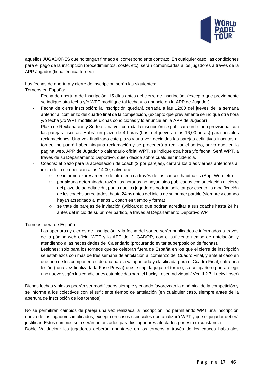

aquellos JUGADORES que no tengan firmado el correspondiente contrato. En cualquier caso, las condiciones para el pago de la inscripción (procedimientos, coste, etc), serán comunicadas a los jugadores a través de la APP Jugador (ficha técnica torneo).

Las fechas de apertura y cierre de inscripción serán las siguientes:

Torneos en España:

- Fecha de apertura de Inscripción: 15 días antes del cierre de inscripción, (excepto que previamente se indique otra fecha y/o WPT modifique tal fecha y lo anuncie en la APP de Jugador).
- Fecha de cierre inscripción: la inscripción quedará cerrada a las 12:00 del jueves de la semana anterior al comienzo del cuadro final de la competición, (excepto que previamente se indique otra hora y/o fecha y/o WPT modifique dichas condiciones y lo anuncie en la APP de Jugador)
- Plazo de Reclamación y Sorteo: Una vez cerrada la inscripción se publicará un listado provisional con las parejas inscritas. Habrá un plazo de 4 horas (hasta el jueves a las 16,00 horas) para posibles reclamaciones. Una vez finalizado este plazo y una vez decididas las parejas definitivas inscritas al torneo, no podrá haber ninguna reclamación y se procederá a realizar el sorteo, salvo que, en la página web, APP de Jugador o calendario oficial WPT, se indique otra hora y/o fecha. Será WPT, a través de su Departamento Deportivo, quien decida sobre cualquier incidencia.
- Coachs: el plazo para la acreditación de coach (2 por parejas), cerrará los días viernes anteriores al inicio de la competición a las 14:00, salvo que:
	- o se informe expresamente de otra fecha a través de los cauces habituales (App, Web. etc)
	- o por alguna determinada razón, los horarios no hayan sido publicados con antelación al cierre del plazo de acreditación, por lo que los jugadores podrán solicitar por escrito, la modificación de los coachs acreditados, hasta 24 hs antes del inicio de su primer partido (siempre y cuando hayan acreditado al menos 1 coach en tiempo y forma)
	- o se traté de parejas de invitación (wildcards) que podrán acreditar a sus coachs hasta 24 hs antes del inicio de su primer partido, a través al Departamento Deportivo WPT.

Torneos fuera de España:

Las aperturas y cierres de inscripción, y la fecha del sorteo serán publicados e informados a través de la página web oficial WPT y la APP del JUGADOR, con el suficiente tiempo de antelación, y atendiendo a las necesidades del Calendario (procurando evitar superposición de fechas).

Lesiones: solo para los torneos que se celebran fuera de España en los que el cierre de inscripción se establezca con más de tres semana de antelación al comienzo del Cuadro Final, y ante el caso en que uno de los componentes de una pareja ya apuntada y clasificada para el Cuadro Final, sufra una lesión ( una vez finalizada la Fase Previa) que le impida jugar el torneo, su compañero podrá elegir uno nuevo según las condiciones establecidas para el Lucky Loser Individual ( Ver III.2.7. Lucky Loser)

Dichas fechas y plazos podrán ser modificados siempre y cuando favorezcan la dinámica de la competición y se informe a los colectivos con el suficiente tiempo de antelación (en cualquier caso, siempre antes de la apertura de inscripción de los torneos)

No se permitirán cambios de pareja una vez realizada la inscripción, no permitiendo WPT una inscripción nueva de los jugadores implicados, excepto en casos especiales que analizará WPT y que el jugador deberá justificar. Estos cambios sólo serán autorizados para los jugadores afectados por esta circunstancia. Doble Validación: los jugadores deberán apuntarse en los torneos a través de los cauces habituales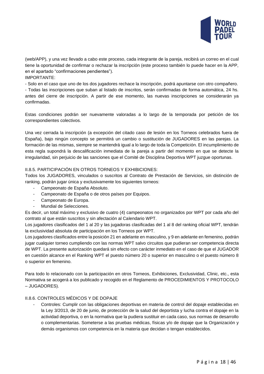

(web/APP), y una vez llevado a cabo este proceso, cada integrante de la pareja, recibirá un correo en el cual tiene la oportunidad de confirmar o rechazar la inscripción (este proceso también lo puede hacer en la APP, en el apartado "confirmaciones pendientes").

IMPORTANTE:

- Solo en el caso que uno de los dos jugadores rechace la inscripción, podrá apuntarse con otro compañero.

- Todas las inscripciones que suban al listado de inscritos, serán confirmadas de forma automática, 24 hs. antes del cierre de inscripción. A partir de ese momento, las nuevas inscripciones se considerarán ya confirmadas.

Estas condiciones podrán ser nuevamente valoradas a lo largo de la temporada por petición de los correspondientes colectivos.

Una vez cerrada la inscripción (a excepción del citado caso de lesión en los Torneos celebrados fuera de España), bajo ningún concepto se permitirá un cambio o sustitución de JUGADORES en las parejas. La formación de las mismas, siempre se mantendrá igual a lo largo de toda la Competición. El incumplimiento de esta regla supondrá la descalificación inmediata de la pareja a partir del momento en que se detecte la irregularidad, sin perjuicio de las sanciones que el Comité de Disciplina Deportiva WPT juzgue oportunas.

#### <span id="page-18-0"></span>II.8.5. PARTICIPACIÓN EN OTROS TORNEOS Y EXHIBICIONES:

Todos los JUGADORES, vinculados o suscritos al Contrato de Prestación de Servicios, sin distinción de ranking, podrán jugar única y exclusivamente los siguientes torneos:

- Campeonato de España Absoluto.
- Campeonato de España o de otros países por Equipos.
- Campeonato de Europa.
- Mundial de Selecciones.

Es decir, un total máximo y exclusivo de cuatro (4) campeonatos no organizados por WPT por cada año del contrato al que están suscritos y sin afectación al Calendario WPT.

Los jugadores clasificados del 1 al 20 y las jugadoras clasificadas del 1 al 8 del ranking oficial WPT, tendrán la exclusividad absoluta de participación en los Torneos por WPT.

Los jugadores clasificados entre la posición 21 en adelante en masculino, y 9 en adelante en femenino, podrán jugar cualquier torneo cumpliendo con las normas WPT salvo circuitos que pudieran ser competencia directa de WPT. La presente autorización quedará sin efecto con carácter inmediato en el caso de que el JUGADOR en cuestión alcance en el Ranking WPT el puesto número 20 o superior en masculino o el puesto número 8 o superior en femenino.

Para todo lo relacionado con la participación en otros Torneos, Exhibiciones, Exclusividad, Clinic, etc., esta Normativa se acogerá a los publicado y recogido en el Reglamento de PROCEDIMIENTOS Y PROTOCOLO – JUGADORES).

#### <span id="page-18-1"></span>II.8.6. CONTROLES MÉDICOS Y DE DOPAJE

Controles: Cumplir con las obligaciones deportivas en materia de control del dopaje establecidas en la Ley 3/2013, de 20 de junio, de protección de la salud del deportista y lucha contra el dopaje en la actividad deportiva, o en la normativa que la pudiera sustituir en cada caso, sus normas de desarrollo o complementarias. Someterse a las pruebas médicas, físicas y/o de dopaje que la Organización y demás organismos con competencia en la materia que decidan o tengan establecidos.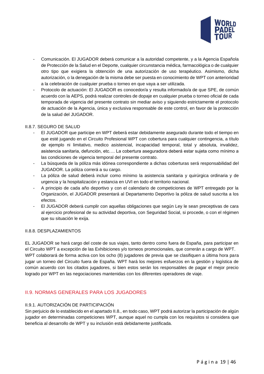

- Comunicación. El JUGADOR deberá comunicar a la autoridad competente, y a la Agencia Española de Protección de la Salud en el Deporte, cualquier circunstancia médica, farmacológica o de cualquier otro tipo que exigiera la obtención de una autorización de uso terapéutico. Asimismo, dicha autorización, o la denegación de la misma debe ser puesta en conocimiento de WPT con anterioridad a la celebración de cualquier prueba o torneo en que vaya a ser utilizada.
- Protocolo de actuación: El JUGADOR es conocedor/a y resulta informado/a de que SPE, de común acuerdo con la AEPS, podrá realizar controles de dopaje en cualquier prueba o torneo oficial de cada temporada de vigencia del presente contrato sin mediar aviso y siguiendo estrictamente el protocolo de actuación de la Agencia, única y exclusiva responsable de este control, en favor de la protección de la salud del JUGADOR.

#### <span id="page-19-0"></span>II.8.7. SEGURO DE SALUD

- El JUGADOR que participe en WPT deberá estar debidamente asegurado durante todo el tiempo en que esté jugando en el Circuito Profesional WPT con cobertura para cualquier contingencia, a título de ejemplo ni limitativo, medico asistencial, incapacidad temporal, total y absoluta, invalidez, asistencia sanitaria, defunción, etc…. La cobertura aseguradora deberá estar sujeta como mínimo a las condiciones de vigencia temporal del presente contrato.
- La búsqueda de la póliza más idónea correspondiente a dichas coberturas será responsabilidad del JUGADOR. La póliza correrá a su cargo.
- La póliza de salud deberá incluir como mínimo la asistencia sanitaria y quirúrgica ordinaria y de urgencia y la hospitalización y estancia en UVI en todo el territorio nacional.
- A principio de cada año deportivo y con el calendario de competiciones de WPT entregado por la Organización, el JUGADOR presentará al Departamento Deportivo la póliza de salud suscrita a los efectos.
- <span id="page-19-1"></span>- El JUGADOR deberá cumplir con aquellas obligaciones que según Ley le sean preceptivas de cara al ejercicio profesional de su actividad deportiva, con Seguridad Social, si procede, o con el régimen que su situación le exija.

#### II.8.8. DESPLAZAMIENTOS

EL JUGADOR se hará cargo del coste de sus viajes, tanto dentro como fuera de España, para participar en el Circuito WPT a excepción de las Exhibiciones y/o torneos promocionales, que correrán a cargo de WPT. WPT colaborará de forma activa con los ocho (8) jugadores de previa que se clasifiquen a última hora para jugar un torneo del Circuito fuera de España. WPT hará los mejores esfuerzos en la gestión y logística de común acuerdo con los citados jugadores, si bien estos serán los responsables de pagar el mejor precio logrado por WPT en las negociaciones mantenidas con los diferentes operadores de viaje.

# <span id="page-19-2"></span>II.9. NORMAS GENERALES PARA LOS JUGADORES

#### <span id="page-19-3"></span>II.9.1. AUTORIZACIÓN DE PARTICIPACIÓN

Sin perjuicio de lo establecido en el apartado II.8., en todo caso, WPT podrá autorizar la participación de algún jugador en determinadas competiciones WPT, aunque aquel no cumpla con los requisitos si considera que beneficia al desarrollo de WPT y su inclusión está debidamente justificada.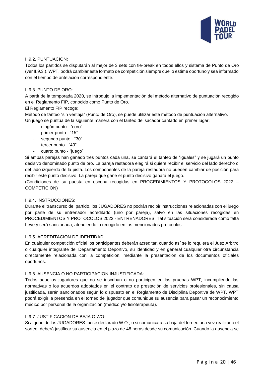

#### <span id="page-20-0"></span>II.9.2. PUNTUACION:

Todos los partidos se disputarán al mejor de 3 sets con tie-break en todos ellos y sistema de Punto de Oro (ver II.9.3.). WPT, podrá cambiar este formato de competición siempre que lo estime oportuno y sea informado con el tiempo de antelación correspondiente.

#### <span id="page-20-1"></span>II.9.3. PUNTO DE ORO:

A partir de la temporada 2020, se introdujo la implementación del método alternativo de puntuación recogido en el Reglamento FIP, conocido como Punto de Oro.

#### El Reglamento FIP recoge:

Método de tanteo "sin ventaja" (Punto de Oro), se puede utilizar este método de puntuación alternativo. Un juego se puntúa de la siguiente manera con el tanteo del sacador cantado en primer lugar:

- ningún punto "cero"
- primer punto "15"
- segundo punto "30"
- tercer punto "40"
- cuarto punto "juego"

Si ambas parejas han ganado tres puntos cada una, se cantará el tanteo de "iguales" y se jugará un punto decisivo denominado punto de oro. La pareja restadora elegirá si quiere recibir el servicio del lado derecho o del lado izquierdo de la pista. Los componentes de la pareja restadora no pueden cambiar de posición para recibir este punto decisivo. La pareja que gane el punto decisivo ganará el juego.

(Condiciones de su puesta en escena recogidas en PROCEDIMIENTOS Y PROTOCOLOS 2022 – COMPETICION)

#### <span id="page-20-2"></span>II.9.4. INSTRUCCIONES:

Durante el transcurso del partido, los JUGADORES no podrán recibir instrucciones relacionadas con el juego por parte de su entrenador acreditado (uno por pareja), salvo en las situaciones recogidas en PROCEDIMIENTOS Y PROTOCOLOS 2022 - ENTRENADORES. Tal situación será considerada como falta Leve y será sancionada, atendiendo lo recogido en los mencionados protocolos.

#### <span id="page-20-3"></span>II.9.5. ACREDITACION DE IDENTIDAD:

En cualquier competición oficial los participantes deberán acreditar, cuando así se lo requiera el Juez Arbitro o cualquier integrante del Departamento Deportivo, su identidad y en general cualquier otra circunstancia directamente relacionada con la competición, mediante la presentación de los documentos oficiales oportunos.

#### <span id="page-20-4"></span>II.9.6. AUSENCIA O NO PARTICIPACION INJUSTIFICADA:

Todos aquellos jugadores que no se inscriban o no participen en las pruebas WPT, incumpliendo las normativas o los acuerdos adoptados en el contrato de prestación de servicios profesionales, sin causa justificada, serán sancionados según lo dispuesto en el Reglamento de Disciplina Deportiva de WPT. WPT podrá exigir la presencia en el torneo del jugador que comunique su ausencia para pasar un reconocimiento médico por personal de la organización (médico y/o fisioterapeuta).

#### <span id="page-20-5"></span>II.9.7. JUSTIFICACION DE BAJA O WO:

Si alguno de los JUGADORES fuese declarado W.O., o si comunicara su baja del torneo una vez realizado el sorteo, deberá justificar su ausencia en el plazo de 48 horas desde su comunicación. Cuando la ausencia se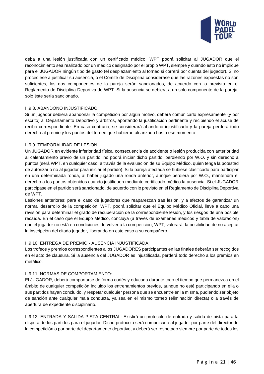

deba a una lesión justificada con un certificado médico, WPT podrá solicitar al JUGADOR que el reconocimiento sea realizado por un médico designado por el propio WPT, siempre y cuando esto no implique para el JUGADOR ningún tipo de gasto (el desplazamiento al torneo si correrá por cuenta del jugador). Si no procediese a justificar su ausencia, o el Comité de Disciplina considerase que las razones expuestas no son suficientes, los dos componentes de la pareja serán sancionados, de acuerdo con lo previsto en el Reglamento de Disciplina Deportiva de WPT. Si la ausencia se debiera a un solo componente de la pareja, solo éste sería sancionado.

#### <span id="page-21-0"></span>II.9.8. ABANDONO INJUSTIFICADO:

Si un jugador debiera abandonar la competición por algún motivo, deberá comunicarlo expresamente (y por escrito) al Departamento Deportivo y árbitros, aportando la justificación pertinente y recibiendo el acuse de recibo correspondiente. En caso contrario, se considerará abandono injustificado y la pareja perderá todo derecho al premio y los puntos del torneo que hubieran alcanzado hasta ese momento.

#### <span id="page-21-1"></span>II.9.9. TEMPORALIDAD DE LESION:

Un JUGADOR en evidente inferioridad física, consecuencia de accidente o lesión producida con anterioridad al calentamiento previo de un partido, no podrá iniciar dicho partido, perdiendo por W.O. y sin derecho a puntos (será WPT, en cualquier caso, a través de la evaluación de su Equipo Médico, quien tenga la potestad de autorizar o no al jugador para iniciar el partido). Si la pareja afectada se hubiese clasificado para participar en una determinada ronda, al haber jugado una ronda anterior, aunque perdiera por W.O., mantendrá el derecho a los puntos obtenidos cuando justifiquen mediante certificado médico la ausencia. Si el JUGADOR participase en el partido será sancionado, de acuerdo con lo previsto en el Reglamento de Disciplina Deportiva de WPT.

Lesiones anteriores: para el caso de jugadores que reaparezcan tras lesión, y a efectos de garantizar un normal desarrollo de la competición, WPT, podrá solicitar que el Equipo Médico Oficial, lleve a cabo una revisión para determinar el grado de recuperación de la correspondiente lesión, y los riesgos de una posible recaída. En el caso que el Equipo Médico, concluya (a través de exámenes médicos y tabla de valoración) que el jugador no está en condiciones de volver a la competición, WPT, valorará, la posibilidad de no aceptar la inscripción del citado jugador, liberando en este caso a su compañero.

#### <span id="page-21-2"></span>II.9.10. ENTREGA DE PREMIO - AUSENCIA INJUSTIFICADA:

Los trofeos y premios correspondientes a los JUGADORES participantes en las finales deberán ser recogidos en el acto de clausura. Si la ausencia del JUGADOR es injustificada, perderá todo derecho a los premios en metálico.

#### <span id="page-21-3"></span>II.9.11. NORMAS DE COMPORTAMIENTO:

El JUGADOR, deberá comportarse de forma cortés y educada durante todo el tiempo que permanezca en el ámbito de cualquier competición incluido los entrenamientos previos, aunque no esté participando en ella o sus partidos hayan concluido, y respetar cualquier persona que se encuentre en la misma, pudiendo ser objeto de sanción ante cualquier mala conducta, ya sea en el mismo torneo (eliminación directa) o a través de apertura de expediente disciplinario.

<span id="page-21-4"></span>II.9.12. ENTRADA Y SALIDA PISTA CENTRAL: Existirá un protocolo de entrada y salida de pista para la disputa de los partidos para el jugador: Dicho protocolo será comunicado al jugador por parte del director de la competición o por parte del departamento deportivo, y deberá ser respetado siempre por parte de todos los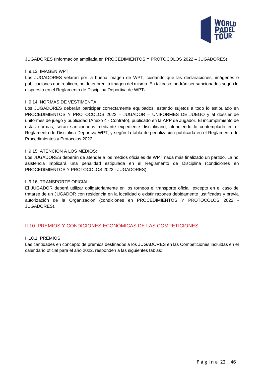

#### JUGADORES (información ampliada en PROCEDIMIENTOS Y PROTOCOLOS 2022 – JUGADORES)

#### <span id="page-22-0"></span>II.9.13. IMAGEN WPT:

Los JUGADORES velarán por la buena imagen de WPT, cuidando que las declaraciones, imágenes o publicaciones que realicen, no deterioren la imagen del mismo. En tal caso, podrán ser sancionados según lo dispuesto en el Reglamento de Disciplina Deportiva de WPT**.**

#### <span id="page-22-1"></span>II.9.14. NORMAS DE VESTIMENTA:

Los JUGADORES deberán participar correctamente equipados, estando sujetos a todo lo estipulado en PROCEDIMIENTOS Y PROTOCOLOS 2022 – JUGADOR – UNIFORMES DE JUEGO y al dossier de uniformes de juego y publicidad (Anexo 4 - Contrato), publicado en la APP de Jugador. El incumplimiento de estas normas, serán sancionadas mediante expediente disciplinario, atendiendo lo contemplado en el Reglamento de Disciplina Deportiva WPT, y según la tabla de penalización publicada en el Reglamento de Procedimientos y Protocolos 2022.

#### <span id="page-22-2"></span>II.9.15. ATENCION A LOS MEDIOS:

Los JUGADORES deberán de atender a los medios oficiales de WPT nada más finalizado un partido. La no asistencia implicará una penalidad estipulada en el Reglamento de Disciplina (condiciones en PROCEDIMIENTOS Y PROTOCOLOS 2022 - JUGADORES).

#### <span id="page-22-3"></span>II.9.16. TRANSPORTE OFICIAL:

El JUGADOR deberá utilizar obligatoriamente en los torneos el transporte oficial, excepto en el caso de tratarse de un JUGADOR con residencia en la localidad o existir razones debidamente justificadas y previa autorización de la Organización (condiciones en PROCEDIMIENTOS Y PROTOCOLOS 2022 - JUGADORES).

#### <span id="page-22-4"></span>II.10. PREMIOS Y CONDICIONES ECONÓMICAS DE LAS COMPETICIONES

#### <span id="page-22-5"></span>II.10.1. PREMIOS

Las cantidades en concepto de premios destinados a los JUGADORES en las Competiciones incluidas en el calendario oficial para el año 2022, responden a las siguientes tablas: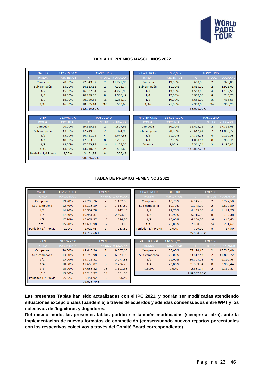

#### **TABLA DE PREMIOS MASCULINOS 2022**

| <b>MASTER</b>       | 112.719,60€       |             | <b>MASCULINO</b> |                  |
|---------------------|-------------------|-------------|------------------|------------------|
| <b>RONDA</b>        | <b>PORCENTAJE</b> | €           | Nº JUG.          | <b>x JUGADOR</b> |
| Campeón             | 20,00%            | 22.543,92   | $\overline{2}$   | 11.271,96        |
| Sub-campeón         | 13,00%            | 14.653,55   | $\overline{2}$   | 7.326,77         |
| 1/2                 | 15,00%            | 16.907,94   | $\overline{4}$   | 4.226,99         |
| 1/4                 | 18,00%            | 20.289,53   | 8                | 2.536,19         |
| 1/8                 | 18,00%            | 20.289,53   | 16               | 1.268,10         |
| 1/16                | 16,00%            | 18.035,14   | 32               | 563,60           |
|                     |                   | 112.719,60€ |                  |                  |
|                     |                   |             |                  |                  |
|                     |                   |             |                  |                  |
| <b>OPEN</b>         | 98.076,79€        |             | <b>MASCULINO</b> |                  |
| <b>RONDA</b>        | <b>PORCENTAJE</b> | €           | Nº JUG.          | x JUGADOR        |
| Campeón             | 20,00%            | 19.615,36   | $\overline{2}$   | 9.807,68         |
| Sub-campeón         | 13,00%            | 12.749,98   | $\overline{2}$   | 6.374,99         |
| 1/2                 | 15,00%            | 14.711,52   | 4                | 3.677,88         |
| 1/4                 | 18,00%            | 17.653,82   | 8                | 2.206,73         |
| 1/8                 | 18,00%            | 17.653,82   | 16               | 1.103,36         |
| 1/16                | 13,50%            | 13.240,37   | 24               | 551,68           |
| Perdedor 1/4 Previa | 2,50%             | 2.451,92    | 8                | 306,49           |

| <b>CHALLENGER</b> | 35.000,00€        |            | <b>MASCULINO</b> |                   |
|-------------------|-------------------|------------|------------------|-------------------|
| <b>RONDA</b>      | <b>PORCENTAJE</b> | €          |                  | Nº JUG. x JUGADOR |
| Campeón           | 19,00%            | 6.650,00   | $\overline{2}$   | 3.325,00          |
| Sub-campeón       | 11,00%            | 3.850,00   | $\overline{z}$   | 1.925,00          |
| 1/2               | 13,00%            | 4.550,00   | 4                | 1.137,50          |
| 1/4               | 17,00%            | 5.950,00   | 8                | 743,75            |
| 1/8               | 19,00%            | 6.650,00   | 16               | 415,63            |
| 1/16              | 21,00%            | 7.350,00   | 24               | 306,25            |
|                   |                   | 35.000,00€ |                  |                   |

| <b>MASTER FINAL</b> | 118.087,20€       |             | <b>MASCULINO</b> |                   |
|---------------------|-------------------|-------------|------------------|-------------------|
| <b>RONDA</b>        | <b>PORCENTAJE</b> | €           |                  | Nº JUG. x JUGADOR |
| Campeón             | 30,00%            | 35.426,16   | $\overline{z}$   | 17.713,08         |
| Sub-campeón         | 20,00%            | 23.617,44   | $\overline{2}$   | 11.808,72         |
| 1/2                 | 21,00%            | 24.798,31   | 4                | 6.199,58          |
| 1/4                 | 27,00%            | 31.883,54   | 8                | 3.985,44          |
| Reserva             | 2,00%             | 2.361,74    | $\overline{z}$   | 1.180,87          |
|                     |                   | 118.087,20€ |                  |                   |
|                     |                   |             |                  |                   |

#### **TABLA DE PREMIOS FEMENINOS 2022**

| <b>MASTER</b>       | 112.719,60€       |             | <b>FEMENINO</b> |                   | <b>CHALLENGER</b>   | 35.000,00 €       |             | <b>FEMENINO</b> |                   |
|---------------------|-------------------|-------------|-----------------|-------------------|---------------------|-------------------|-------------|-----------------|-------------------|
| <b>RONDA</b>        | <b>PORCENTAJE</b> | €.          |                 | Nº JUG. x JUGADOR | <b>RONDA</b>        | <b>PORCENTAJE</b> | €           |                 | Nº JUG. x JUGADOR |
| Campeona            | 19,70%            | 22.205,76   | $\overline{2}$  | 11.102,88         | Campeona            | 18,70%            | 6.545,00    | $\overline{2}$  | 3.272,50          |
| Sub-campeona        | 12,70%            | 14.315,39   | $\overline{2}$  | 7.157,69          | Sub-campeona        | 10,70%            | 3.745,00    | $\overline{2}$  | 1.872,50          |
| 1/2                 | 14,70%            | 16.569,78   | $\overline{4}$  | 4.142,45          | 1/2                 | 12,70%            | 4.445,00    | 4               | 1.111,25          |
| 1/4                 | 17,70%            | 19.951,37   | 8               | 2.493,92          | 1/4                 | 16,90%            | 5.915,00    | 8               | 739,38            |
| 1/8                 | 17,70%            | 19.951,37   | 16              | 1.246,96          | 1/8                 | 19,00%            | 6.650,00    | 16              | 415,63            |
| 1/16                | 15,70%            | 17.696,98   | 32              | 553,03            | 1/16                | 20,00%            | 7.000,00    | 24              | 291,67            |
| Perdedor 1/4 Previa | 1,80%             | 2.028,95    | 8               | 253,62            | Perdedor 1/4 Previa | 2,00%             | 700,00      | 8               | 87,50             |
|                     |                   | 112.719,60€ |                 |                   |                     |                   | 35.000.00€  |                 |                   |
| <b>OPEN</b>         |                   |             |                 |                   |                     |                   |             |                 |                   |
|                     | 98.076,79€        |             | <b>FEMENINO</b> |                   | <b>MASTER FINAL</b> | 118.087,20€       |             | <b>FEMENINO</b> |                   |
| <b>RONDA</b>        | <b>PORCENTAJE</b> | $\epsilon$  |                 | Nº JUG. x JUGADOR | <b>RONDA</b>        | <b>PORCENTAJE</b> | €           |                 | Nº JUG. x JUGADOR |
| Campeona            | 20,00%            | 19.615,36   | $\overline{2}$  | 9.807,68          | Campeona            | 30,00%            | 35.426,16   | $\overline{2}$  | 17.713,08         |
| Sub-campeona        | 13,00%            | 12.749,98   | $\overline{2}$  | 6.374,99          | Sub-campeona        | 20,00%            | 23.617,44   | $\overline{2}$  | 11.808,72         |
| 1/2                 | 15,00%            | 14.711,52   | 4               | 3.677,88          | 1/2                 | 21,00%            | 24.798,31   | 4               | 6.199,58          |
| 1/4                 | 18,00%            | 17.653,82   | 8               | 2.206,73          | 1/4                 | 27,00%            | 31.883,54   | 8               | 3.985,44          |
| 1/8                 | 18,00%            | 17.653,82   | 16              | 1.103,36          | Reserva             | 2,00%             | 2.361,74    | $\overline{2}$  | 1.180,87          |
| 1/16                | 13,50%            | 13.240,37   | 24              | 551,68            |                     |                   | 118.087,20€ |                 |                   |
| Perdedor 1/4 Previa | 2,50%             | 2.451,92    | 8               | 306,49            |                     |                   |             |                 |                   |

**Las presentes Tablas han sido actualizadas con el IPC 2021. y podrán ser modificadas atendiendo situaciones excepcionales (pandemia) a través de acuerdos y adendas consensuados entre WPT y los colectivos de Jugadoras y Jugadores.**

<span id="page-23-0"></span>**Del mismo modo, las presentes tablas podrán ser también modificadas (siempre al alza), ante la implementación de nuevos formatos de competición (consensuando nuevos repartos porcentuales con los respectivos colectivos a través del Comité Board correspondiente).**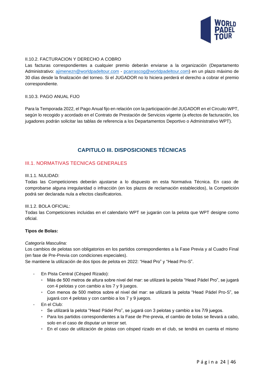

#### II.10.2. FACTURACION Y DERECHO A COBRO

Las facturas correspondientes a cualquier premio deberán enviarse a la organización (Departamento Administrativo: [ajimenezn@worldpadeltour.com](mailto:ajimenezn@worldpadeltour.com) - pcarrascog@worldpadeltour.com) en un plazo máximo de 30 días desde la finalización del torneo. Si el JUGADOR no lo hiciera perderá el derecho a cobrar el premio correspondiente.

#### <span id="page-24-0"></span>II.10.3. PAGO ANUAL FIJO

<span id="page-24-1"></span>Para la Temporada 2022, el Pago Anual fijo en relación con la participación del JUGADOR en el Circuito WPT, según lo recogido y acordado en el Contrato de Prestación de Servicios vigente (a efectos de facturación, los jugadores podrán solicitar las tablas de referencia a los Departamentos Deportivo o Administrativo WPT).

# **CAPITULO III. DISPOSICIONES TÉCNICAS**

#### <span id="page-24-2"></span>III.1. NORMATIVAS TECNICAS GENERALES

#### <span id="page-24-3"></span>III.1.1. NULIDAD:

Todas las Competiciones deberán ajustarse a lo dispuesto en esta Normativa Técnica. En caso de comprobarse alguna irregularidad o infracción (en los plazos de reclamación establecidos), la Competición podrá ser declarada nula a efectos clasificatorios.

#### <span id="page-24-4"></span>III.1.2. BOLA OFICIAL:

Todas las Competiciones incluidas en el calendario WPT se jugarán con la pelota que WPT designe como oficial.

#### **Tipos de Bolas:**

#### *Categoría Masculina:*

Los cambios de pelotas son obligatorios en los partidos correspondientes a la Fase Previa y al Cuadro Final (en fase de Pre-Previa con condiciones especiales).

Se mantiene la utilización de dos tipos de pelota en 2022: "Head Pro" y "Head Pro-S".

- En Pista Central (Césped Rizado):
	- ‣ Más de 500 metros de altura sobre nivel del mar: se utilizará la pelota "Head Pádel Pro", se jugará con 4 pelotas y con cambio a los 7 y 9 juegos.
	- ‣ Con menos de 500 metros sobre el nivel del mar: se utilizará la pelota "Head Pádel Pro-S", se jugará con 4 pelotas y con cambio a los 7 y 9 juegos.
- En el Club:
	- ‣ Se utilizará la pelota "Head Pádel Pro", se jugará con 3 pelotas y cambio a los 7/9 juegos.
	- ‣ Para los partidos correspondientes a la Fase de Pre-previa, el cambio de bolas se llevará a cabo, solo en el caso de disputar un tercer set.
	- ‣ En el caso de utilización de pistas con césped rizado en el club, se tendrá en cuenta el mismo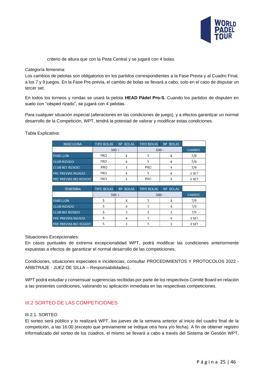

criterio de altura que con la Pista Central y se jugará con 4 bolas.

#### *Categoría femenina:*

Los cambios de pelotas son obligatorios en los partidos correspondientes a la Fase Previa y al Cuadro Final, a los 7 y 9 juegos. En la Fase Pre-previa, el cambio de bolas se llevará a cabo, solo en el caso de disputar un tercer set.

En todos los torneos y rondas se usará la pelota **HEAD Pádel Pro-S**. Cuando los partidos de disputen en suelo con "césped rizado", se jugará con 4 pelotas.

Para cualquier situación especial (alteraciones en las condiciones de juego), y a efectos garantizar un normal desarrollo de la Competición, WPT, tendrá la potestad de valorar y modificar estas condiciones.

Tabla Explicativa:

| <b>MASCULINA</b>             | <b>TIPO BOLAS</b> | <b>Nº BOLAS</b> | <b>TIPO BOLAS</b> | Nº BOLAS |               |
|------------------------------|-------------------|-----------------|-------------------|----------|---------------|
|                              | $500 +$           |                 | $500 -$           |          | <b>CAMBIO</b> |
| <b>PABELLON</b>              | <b>PRO</b>        |                 |                   |          | 7/9           |
| <b>CLUB RIZADO</b>           | <b>PRO</b>        |                 |                   |          | 7/9           |
| <b>CLUB NO RIZADO</b>        | <b>PRO</b>        | 3               | <b>PRO</b>        |          | 7/9           |
| <b>PRE PREVIAS RIZADO</b>    | <b>PRO</b>        |                 |                   |          | 3 SET         |
| <b>PRE PREVIAS NO RIZADO</b> | <b>PRO</b>        |                 | <b>PRO</b>        |          | 3 SET         |

| <b>FEMENINA</b>              | <b>TIPO BOLAS</b> | Nº BOLAS | <b>TIPO BOLAS</b> | Nº BOLAS      |       |
|------------------------------|-------------------|----------|-------------------|---------------|-------|
|                              |                   | $500 +$  | $500 -$           | <b>CAMBIO</b> |       |
| <b>PABELLON</b>              |                   |          |                   |               | 7/9   |
| <b>CLUB RIZADO</b>           |                   |          |                   |               | 7/9   |
| <b>CLUB NO RIZADO</b>        |                   |          |                   |               | 7/9   |
| <b>PRE PREVIAS RIZADO</b>    |                   |          |                   |               | 3 SET |
| <b>PRE PREVIAS NO RIZADO</b> |                   |          |                   |               | 3 SET |

Situaciones Excepcionales:

En casos puntuales de extrema excepcionalidad WPT, podrá modificar las condiciones anteriormente expuestas a efectos de garantizar el normal desarrollo de las competiciones.

Condiciones, situaciones especiales e incidencias, consultar PROCEDIMIENTOS Y PROTOCOLOS 2022 - ARBITRAJE - JUEZ DE SILLA – Responsabilidades).

WPT podrá estudiar y consensuar sugerencias recibidas por parte de los respectivos Comité Board en relación a las presentes condiciones, valorando su aplicación inmediata en las respectivas competiciones.

#### <span id="page-25-0"></span>III.2 SORTEO DE LAS COMPETICIONES

#### <span id="page-25-1"></span>III.2.1. SORTEO

El sorteo será público y lo realizará WPT, los jueves de la semana anterior al inicio del cuadro final de la competición, a las 16:00 (excepto que previamente se indique otra hora y/o fecha). A fin de obtener registro informatizado del sorteo de los cuadros, el mismo se llevará a cabo a través del Sistema de Gestión WPT,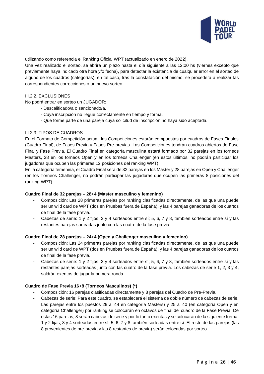

utilizando como referencia el Ranking Oficial WPT (actualizado en enero de 2022).

Una vez realizado el sorteo, se abrirá un plazo hasta el día siguiente a las 12:00 hs (viernes excepto que previamente haya indicado otra hora y/o fecha), para detectar la existencia de cualquier error en el sorteo de alguno de los cuadros (categorías), en tal caso, tras la constatación del mismo, se procederá a realizar las correspondientes correcciones o un nuevo sorteo.

#### <span id="page-26-0"></span>III.2.2. EXCLUSIONES

No podrá entrar en sorteo un JUGADOR:

- Descalificado/a o sancionado/a.
- Cuya inscripción no llegue correctamente en tiempo y forma.
- Que forme parte de una pareja cuya solicitud de inscripción no haya sido aceptada.

#### <span id="page-26-1"></span>III.2.3. TIPOS DE CUADROS

En el Formato de Competición actual, las Competiciones estarán compuestas por cuadros de Fases Finales (Cuadro Final), de Fases Previa y Fases Pre-previas. Las Competiciones tendrán cuadros abiertos de Fase Final y Fase Previa. El Cuadro Final en categoría masculina estará formado por 32 parejas en los torneos Masters, 28 en los torneos Open y en los torneos Challenger (en estos últimos, no podrán participar los jugadores que ocupen las primeras 12 posiciones del ranking WPT).

En la categoría femenina, el Cuadro Final será de 32 parejas en los Master y 28 parejas en Open y Challenger (en los Torneos Challenger, no podrán participar las jugadoras que ocupen las primeras 8 posiciones del ranking WPT).

#### **Cuadro Final de 32 parejas – 28+4 (Master masculino y femenino)**

- Composición: Las 28 primeras parejas por ranking clasificadas directamente, de las que una puede ser un wild card de WPT (dos en Pruebas fuera de España), y las 4 parejas ganadoras de los cuartos de final de la fase previa.
- Cabezas de serie: 1 y 2 fijos, 3 y 4 sorteados entre sí; 5, 6, 7 y 8, también sorteados entre sí y las restantes parejas sorteadas junto con las cuatro de la fase previa.

#### **Cuadro Final de 28 parejas – 24+4 (Open y Challenger masculino y femenino)**

- Composición: Las 24 primeras parejas por ranking clasificadas directamente, de las que una puede ser un wild card de WPT (dos en Pruebas fuera de España), y las 4 parejas ganadoras de los cuartos de final de la fase previa.
- Cabezas de serie: 1 y 2 fijos, 3 y 4 sorteados entre sí; 5, 6, 7 y 8, también sorteados entre sí y las restantes parejas sorteadas junto con las cuatro de la fase previa. Los cabezas de serie 1, 2, 3 y 4, saldrán exentos de jugar la primera ronda.

#### **Cuadro de Fase Previa 16+8 (Torneos Masculinos) (\*)**

- Composición: 16 parejas clasificadas directamente y 8 parejas del Cuadro de Pre-Previa.
- Cabezas de serie: Para este cuadro, se establecerá el sistema de doble número de cabezas de serie. Las parejas entre los puestos 29 al 44 en categoría Masters) y 25 al 40 (en categoría Open y en categoría Challenger) por ranking se colocarán en octavos de final del cuadro de la Fase Previa. De estas 16 parejas, 8 serán cabezas de serie y por lo tanto exentas y se colocarán de la siguiente forma: 1 y 2 fijas, 3 y 4 sorteadas entre sí; 5, 6, 7 y 8 también sorteadas entre sí. El resto de las parejas (las 8 provenientes de pre-previa y las 8 restantes de previa) serán colocadas por sorteo.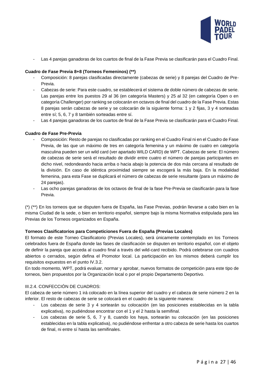

Las 4 parejas ganadoras de los cuartos de final de la Fase Previa se clasificarán para el Cuadro Final.

#### **Cuadro de Fase Previa 8+8 (Torneos Femeninos) (\*\*)**

- Composición: 8 parejas clasificadas directamente (cabezas de serie) y 8 parejas del Cuadro de Pre-Previa.
- Cabezas de serie: Para este cuadro, se establecerá el sistema de doble número de cabezas de serie. Las parejas entre los puestos 29 al 36 (en categoría Masters) y 25 al 32 (en categoría Open o en categoría Challenger) por ranking se colocarán en octavos de final del cuadro de la Fase Previa. Estas 8 parejas serán cabezas de serie y se colocarán de la siguiente forma: 1 y 2 fijas, 3 y 4 sorteadas entre sí; 5, 6, 7 y 8 también sorteadas entre sí.
- Las 4 parejas ganadoras de los cuartos de final de la Fase Previa se clasificarán para el Cuadro Final.

#### **Cuadro de Fase Pre-Previa**

- Composición: Resto de parejas no clasificadas por ranking en el Cuadro Final ni en el Cuadro de Fase Previa, de las que un máximo de tres en categoría femenina y un máximo de cuatro en categoría masculina pueden ser un wild card (ver apartado WILD CARD) de WPT. Cabezas de serie: El número de cabezas de serie será el resultado de dividir entre cuatro el número de parejas participantes en dicho nivel, redondeando hacia arriba o hacia abajo la potencia de dos más cercana al resultado de la división. En caso de idéntica proximidad siempre se escogerá la más baja. En la modalidad femenina, para esta Fase se duplicará el número de cabezas de serie resultante (para un máximo de 24 parejas).
- Las ocho parejas ganadoras de los octavos de final de la fase Pre-Previa se clasificarán para la fase Previa.

(\*) (\*\*) En los torneos que se disputen fuera de España, las Fase Previas, podrán llevarse a cabo bien en la misma Ciudad de la sede, o bien en territorio español, siempre bajo la misma Normativa estipulada para las Previas de los Torneos organizados en España.

#### **Torneos Clasificatorios para Competiciones Fuera de España (Previas Locales)**

El formato de este Torneo Clasificatorio (Previas Locales), será únicamente contemplado en los Torneos celebrados fuera de España donde las fases de clasificación se disputen en territorio español, con el objeto de definir la pareja que acceda al cuadro final a través del wild-card recibido. Podrá celebrarse con cuadros abiertos o cerrados, según defina el Promotor local. La participación en los mismos deberá cumplir los requisitos expuestos en el punto IV.3.2.

En todo momento, WPT, podrá evaluar, normar y aprobar, nuevos formatos de competición para este tipo de torneos, bien propuestos por la Organización local o por el propio Departamento Deportivo.

#### <span id="page-27-0"></span>III.2.4. CONFECCIÓN DE CUADROS:

El cabeza de serie número 1 irá colocado en la línea superior del cuadro y el cabeza de serie número 2 en la inferior. El resto de cabezas de serie se colocará en el cuadro de la siguiente manera:

- Los cabezas de serie 3 y 4 sortearán su colocación (en las posiciones establecidas en la tabla explicativa), no pudiéndose encontrar con el 1 y el 2 hasta la semifinal.
- Los cabezas de serie 5, 6, 7 y 8, cuando los haya, sortearán su colocación (en las posiciones establecidas en la tabla explicativa), no pudiéndose enfrentar a otro cabeza de serie hasta los cuartos de final, ni entre sí hasta las semifinales.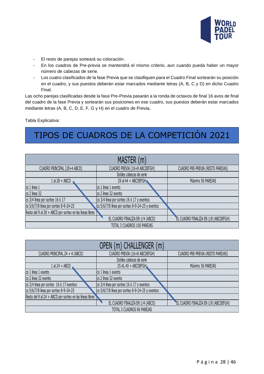

- El resto de parejas sorteará su colocación.
- En los cuadros de Pre-previa se mantendrá el mismo criterio, aun cuando pueda haber un mayor número de cabezas de serie.
- Los cuatro clasificados de la fase Previa que se clasifiquen para el Cuadro Final sortearán su posición en el cuadro, y sus puestos deberán estar marcados mediante letras (A, B, C y D) en dicho Cuadro Final.

Las ocho parejas clasificadas desde la fase Pre-Previa pasarán a la ronda de octavos de final 16 avos de final del cuadro de la fase Previa y sortearán sus posiciones en ese cuadro, sus puestos deberán estar marcados mediante letras (A, B, C, D, E, F, G y H) en el cuadro de Previa**.**

Tabla Explicativa:

# TIPOS DE CUADROS DE LA COMPETICIÓN 2021

<span id="page-28-0"></span>

| MASTER (m)                                               |                                                 |                                       |  |  |  |  |  |
|----------------------------------------------------------|-------------------------------------------------|---------------------------------------|--|--|--|--|--|
| CUADRO PRINCIPAL (28+4 ABCD)                             | CUADRO PREVIA (16+8 ABCDEFGH)                   | CUADRO PRE-PREVIA (RESTO PAREJAS)     |  |  |  |  |  |
|                                                          | Dobles cabezas de serie                         |                                       |  |  |  |  |  |
| $1$ al $28 + ABCD$                                       | 29 al 44 + ABCDEFGH                             | Máximo 56 PAREJAS                     |  |  |  |  |  |
| cs 1 linea 1                                             | cs 1 linea 1 exento                             |                                       |  |  |  |  |  |
| cs 2 linea 32                                            | cs 2 línea 32 exento                            |                                       |  |  |  |  |  |
| cs 3/4 linea por sorteo 16 ó 17                          | cs 3/4 línea por sorteo 16 ó 17 y exentos       |                                       |  |  |  |  |  |
| cs 5/6/7/8 linea por sorteo 8-9-24-25                    | cs 5/6/7/8 línea por sorteo 8-9-24-25 y exentos |                                       |  |  |  |  |  |
| Resto del 9 al 28 + ABCD por sorteo en las líneas libres |                                                 |                                       |  |  |  |  |  |
|                                                          | EL CUADRO FINALIZA EN 1/4 (ABCD)                | "EL CUADRO FINALIZA EN 1/8 (ABCDEFGH) |  |  |  |  |  |
| TOTAL 3 CUADROS 100 PAREJAS                              |                                                 |                                       |  |  |  |  |  |

| OPEN (m) CHALLENGER (m)                                  |                                                 |                                      |  |  |  |  |  |
|----------------------------------------------------------|-------------------------------------------------|--------------------------------------|--|--|--|--|--|
| CUADRO PRINCIPAL 24 + 4 (ABCD)                           | CUADRO PREVIA (16+8 ABCDEFGH)                   | CUADRO PRE-PREVIA (RESTO PAREJAS)    |  |  |  |  |  |
|                                                          | Dobles cabezas de serie                         |                                      |  |  |  |  |  |
| $1$ al 24 + ABCD                                         | 25 AL 40 + ABCDEFGH                             | Máximo 56 PAREJAS                    |  |  |  |  |  |
| cs 1 linea 1 exento                                      | cs 1 linea 1 exento                             |                                      |  |  |  |  |  |
| cs 2 linea 32 exento                                     | cs 2 línea 32 exento                            |                                      |  |  |  |  |  |
| cs 3/4 linea por sorteo 16 ó 17 exentos                  | cs 3/4 línea por sorteo 16 ó 17 y exentos       |                                      |  |  |  |  |  |
| cs 5/6/7/8 linea por sorteo 8-9-24-25                    | cs 5/6/7/8 línea por sorteo 8-9-24-25 y exentos |                                      |  |  |  |  |  |
| Resto del 9 al 24 + ABCD por sorteo en las líneas libres |                                                 |                                      |  |  |  |  |  |
|                                                          | EL CUADRO FINALIZA EN 1/4 (ABCD)                | EL CUADRO FINALIZA EN 1/8 (ABCDEFGH) |  |  |  |  |  |
| TOTAL 3 CUADROS 96 PAREJAS                               |                                                 |                                      |  |  |  |  |  |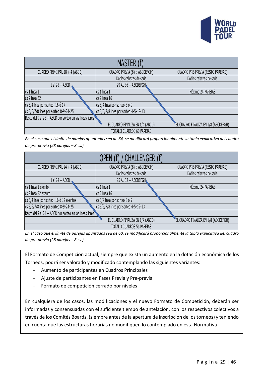

| MASTER (f)                                                                     |                                  |                                       |  |  |  |  |  |
|--------------------------------------------------------------------------------|----------------------------------|---------------------------------------|--|--|--|--|--|
| CUADRO PRINCIPAL 28 + 4 (ABCD)                                                 | CUADRO PREVIA (8+8 ABCDEFGH)     | CUADRO PRE-PREVIA (RESTO PAREJAS)     |  |  |  |  |  |
|                                                                                | Dobles cabezas de serie          | Dobles cabezas de serie               |  |  |  |  |  |
| $1$ al 28 + ABCD                                                               | 29 AL 36 + ABCDEFGH              |                                       |  |  |  |  |  |
| cs 1 linea 1                                                                   | cs 1 linea 1                     | Máximo 24 PAREJAS                     |  |  |  |  |  |
| cs 2 linea 32                                                                  | cs 2 línea 16                    |                                       |  |  |  |  |  |
| cs 3/4 linea por sorteo 16 ó 17                                                | cs 3/4 línea por sorteo 8 ó 9    |                                       |  |  |  |  |  |
| cs 5/6/7/8 linea por sorteo 8-9-24-25<br>cs 5/6/7/8 linea por sorteo 4-5-12-13 |                                  |                                       |  |  |  |  |  |
| Resto del 9 al 28 + ABCD por sorteo en las líneas libres                       |                                  |                                       |  |  |  |  |  |
|                                                                                | EL CUADRO FINALIZA EN 1/4 (ABCD) | "EL CUADRO FINALIZA EN 1/8 (ABCDEFGH) |  |  |  |  |  |
| TOTAL 3 CUADROS 60 PAREJAS                                                     |                                  |                                       |  |  |  |  |  |

*En el caso que el límite de parejas apuntadas sea de 64, se modificará proporcionalmente la tabla explicativa del cuadro de pre-previa (28 parejas – 8 cs.)*

| OPEN (f) / CHALLENGER (f)                                |                                       |                                      |  |  |  |  |  |
|----------------------------------------------------------|---------------------------------------|--------------------------------------|--|--|--|--|--|
| CUADRO PRINCIPAL 24 + 4 (ABCD)                           | CUADRO PREVIA (8+8 ABCDEFGH)          | CUADRO PRE-PREVIA (RESTO PAREJAS)    |  |  |  |  |  |
|                                                          | Dobles cabezas de serie               | Dobles cabezas de serie              |  |  |  |  |  |
| 1 al 24 + ABCD                                           | 25 AL 32 + ABCDEFGH                   |                                      |  |  |  |  |  |
| cs 1 linea 1 exento                                      | Ics 1 linea 1                         | Máximo 24 PAREJAS                    |  |  |  |  |  |
| cs 2 linea 32 exento                                     | cs 2 línea 16                         |                                      |  |  |  |  |  |
| cs 3/4 linea por sorteo 16 ó 17 exentos                  | cs 3/4 línea por sorteo 8 ó 9         |                                      |  |  |  |  |  |
| cs 5/6/7/8 linea por sorteo 8-9-24-25                    | cs 5/6/7/8 línea por sorteo 4-5-12-13 |                                      |  |  |  |  |  |
| Resto del 9 al 24 + ABCD por sorteo en las líneas libres |                                       |                                      |  |  |  |  |  |
|                                                          | EL CUADRO FINALIZA EN 1/4 (ABCD)      | EL CUADRO FINALIZA EN 1/8 (ABCDEFGH) |  |  |  |  |  |
| TOTAL 3 CUADROS 56 PAREJAS                               |                                       |                                      |  |  |  |  |  |

*En el caso que el límite de parejas apuntadas sea de 60, se modificará proporcionalmente la tabla explicativa del cuadro de pre-previa (28 parejas – 8 cs.)*

El Formato de Competición actual, siempre que exista un aumento en la dotación económica de los Torneos, podrá ser valorado y modificado contemplando las siguientes variantes:

- Aumento de participantes en Cuadros Principales
- Ajuste de participantes en Fases Previa y Pre-previa
- Formato de competición cerrado por niveles

En cualquiera de los casos, las modificaciones y el nuevo Formato de Competición, deberán ser informadas y consensuadas con el suficiente tiempo de antelación, con los respectivos colectivos a través de los Comités Boards, (siempre antes de la apertura de inscripción de los torneos) y teniendo en cuenta que las estructuras horarias no modifiquen lo contemplado en esta Normativa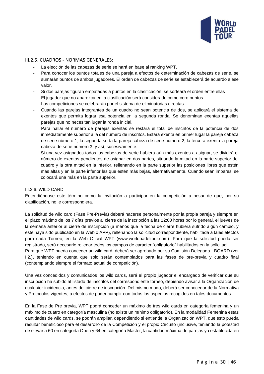

#### III.2.5. CUADROS - NORMAS GENERALES:

- La elección de las cabezas de serie se hará en base al ranking WPT.
- Para conocer los puntos totales de una pareja a efectos de determinación de cabezas de serie, se sumarán puntos de ambos jugadores. El orden de cabezas de serie se establecerá de acuerdo a ese valor.
- Si dos parejas figuran empatadas a puntos en la clasificación, se sorteará el orden entre ellas
- El jugador que no aparezca en la clasificación será considerado como cero puntos.
- Las competiciones se celebrarán por el sistema de eliminatorias directas.
- Cuando las parejas integrantes de un cuadro no sean potencia de dos, se aplicará el sistema de exentos que permita lograr esa potencia en la segunda ronda. Se denominan exentas aquellas parejas que no necesitan jugar la ronda inicial.

Para hallar el número de parejas exentas se restará el total de inscritos de la potencia de dos inmediatamente superior a la del número de inscritos. Estará exenta en primer lugar la pareja cabeza de serie número 1, la segunda sería la pareja cabeza de serie número 2, la tercera exenta la pareja cabeza de serie número 3, y así, sucesivamente.

Si una vez asignados todos los cabezas de serie hubiera aún más exentos a asignar, se dividirá el número de exentos pendientes de asignar en dos partes, situando la mitad en la parte superior del cuadro y la otra mitad en la inferior, rellenando en la parte superior las posiciones libres que estén más altas y en la parte inferior las que estén más bajas, alternativamente. Cuando sean impares, se colocará una más en la parte superior.

#### <span id="page-30-0"></span>III.2.6. WILD CARD

Entendiéndose este término como la invitación a participar en la competición a pesar de que, por su clasificación, no le correspondiera.

La solicitud de wild card (Fase Pre-Previa) deberá hacerse personalmente por la propia pareja y siempre en el plazo máximo de los 7 días previos al cierre de la inscripción a las 12:00 horas por lo general, el jueves de la semana anterior al cierre de inscripción (a menos que la fecha de cierre hubiera sufrido algún cambio, y este haya sido publicado en la Web o APP), rellenando la solicitud correspondiente, habilitada a tales efectos para cada Torneo, en la Web Oficial WPT (www.worldpadeltour.com). Para que la solicitud pueda ser registrada, será necesario rellenar todos los campos de carácter "obligatorio" habilitados en la solicitud.

Para que WPT pueda conceder un wild card, deberá ser aprobado por su Comisión Delegada - BOARD (ver I.2.), teniendo en cuenta que solo serán contemplados para las fases de pre-previa y cuadro final (contemplando siempre el formato actual de competición).

Una vez concedidos y comunicados los wild cards, será el propio jugador el encargado de verificar que su inscripción ha subido al listado de inscritos del correspondiente torneo, debiendo avisar a la Organización de cualquier incidencia, antes del cierre de inscripción. Del mismo modo, deberá ser conocedor de la Normativa y Protocolos vigentes, a efectos de poder cumplir con todos los aspectos recogidos en tales documentos.

En la Fase de Pre previa, WPT podrá conceder un máximo de tres wild cards en categoría femenina y un máximo de cuatro en categoría masculina (no existe un mínimo obligatorio). En la modalidad Femenina estas cantidades de wild cards, se podrán ampliar, dependiendo si entiende la Organización WPT, que esto pueda resultar beneficioso para el desarrollo de la Competición y el propio Circuito (inclusive, teniendo la potestad de elevar a 60 en categoría Open y 64 en categoría Master, la cantidad máxima de parejas ya establecida en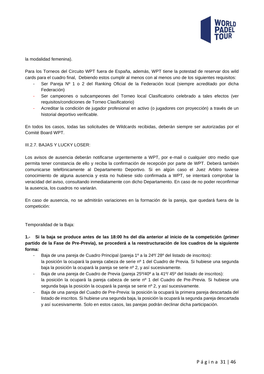

la modalidad femenina).

Para los Torneos del Circuito WPT fuera de España, además, WPT tiene la potestad de reservar dos wild cards para el cuadro final, Debiendo estos cumplir al menos con al menos uno de los siguientes requisitos:

- Ser Pareja Nº 1 o 2 del Ranking Oficial de la Federación local (siempre acreditado por dicha Federación)
- Ser campeones o subcampeones del Torneo local Clasificatorio celebrado a tales efectos (ver requisitos/condiciones de Torneo Clasificatorio)
- Acreditar la condición de jugador profesional en activo (o jugadores con proyección) a través de un historial deportivo verificable.

En todos los casos, todas las solicitudes de Wildcards recibidas, deberán siempre ser autorizadas por el Comité Board WPT.

#### <span id="page-31-0"></span>III.2.7. BAJAS Y LUCKY LOSER:

Los avisos de ausencia deberán notificarse urgentemente a WPT, por e-mail o cualquier otro medio que permita tener constancia de ello y reciba la confirmación de recepción por parte de WPT. Deberá también comunicarse telefónicamente al Departamento Deportivo. Si en algún caso el Juez Arbitro tuviese conocimiento de alguna ausencia y esta no hubiese sido confirmada a WPT, se intentará comprobar la veracidad del aviso, consultando inmediatamente con dicho Departamento. En caso de no poder reconfirmar la ausencia, los cuadros no variarán.

En caso de ausencia, no se admitirán variaciones en la formación de la pareja, que quedará fuera de la competición:

Temporalidad de la Baja:

#### **1.- Si la baja se produce antes de las 18:00 hs del día anterior al inicio de la competición (primer partido de la Fase de Pre-Previa), se procederá a la reestructuración de los cuadros de la siguiente forma:**

- Baja de una pareja de Cuadro Principal (pareja 1º a la 24º/ 28º del listado de inscritos): la posición la ocupará la pareja cabeza de serie nº 1 del Cuadro de Previa. Si hubiese una segunda baja la posición la ocupará la pareja se serie nº 2, y así sucesivamente.
- Baja de una pareja de Cuadro de Previa (pareja 25º/40º a la 41º/ 45º del listado de inscritos): la posición la ocupará la pareja cabeza de serie nº 1 del Cuadro de Pre-Previa. Si hubiese una segunda baja la posición la ocupará la pareja se serie nº 2, y así sucesivamente.
- Baja de una pareja del Cuadro de Pre-Previa: la posición la ocupará la primera pareja descartada del listado de inscritos. Si hubiese una segunda baja, la posición la ocupará la segunda pareja descartada y así sucesivamente. Solo en estos casos, las parejas podrán declinar dicha participación.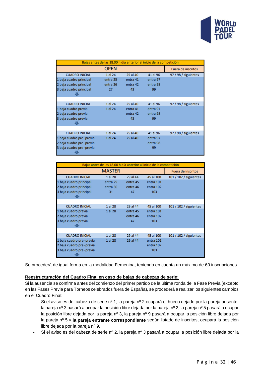

|                           | Bajas antes de las 18.00 h día anterior al inicio de la competición |          |          |                      |
|---------------------------|---------------------------------------------------------------------|----------|----------|----------------------|
|                           | <b>OPEN</b>                                                         |          |          | Fuera de inscritos   |
| <b>CUADRO INICIAL</b>     | 1 al 24                                                             | 25 al 40 | 41 al 96 | 97 / 98 / siguientes |
| 1 baja cuadro principal   | entra 25                                                            | entra 41 | entra 97 |                      |
| 2 baja cuadro principal   | entra 26                                                            | entra 42 | entra 98 |                      |
| 3 baja cuadro principal   | 27                                                                  | 43       | 99       |                      |
|                           |                                                                     |          |          |                      |
|                           |                                                                     |          |          |                      |
| <b>CUADRO INICIAL</b>     | 1 al 24                                                             | 25 al 40 | 41 al 96 | 97 / 98 / siguientes |
| 1 baja cuadro previa      | 1 al 24                                                             | entra 41 | entra 97 |                      |
| 2 baja cuadro previa      |                                                                     | entra 42 | entra 98 |                      |
| 3 baja cuadro previa      |                                                                     | 43       | 99       |                      |
|                           |                                                                     |          |          |                      |
|                           |                                                                     |          |          |                      |
| <b>CUADRO INICIAL</b>     | 1 al 24                                                             | 25 al 40 | 41 al 96 | 97 / 98 / siguientes |
| 1 baja cuadro pre -previa | 1 al 24                                                             | 25 al 40 | entra 97 |                      |
| 2 baja cuadro pre -previa |                                                                     |          | entra 98 |                      |
| 3 baja cuadro pre -previa |                                                                     |          | 99       |                      |
|                           |                                                                     |          |          |                      |

| <b>MASTER</b><br><b>Fuera de inscritos</b><br><b>CUADRO INICIAL</b><br>1 al 28<br>29 al 44<br>45 al 100<br>101 / 102 / siguientes<br>1 baja cuadro principal<br>entra 101<br>entra 29<br>entra 45<br>2 baja cuadro principal<br>entra 102<br>entra 30<br>entra 46<br>3 baja cuadro principal<br>103<br>31<br>47<br>29 al 44<br>1 al 28<br>45 al 100<br>101 / 102 / siguientes<br><b>CUADRO INICIAL</b><br>1 baja cuadro previa<br>1 al 28<br>entra 101<br>entra 45<br>2 baja cuadro previa<br>entra 102<br>entra 46<br>3 baja cuadro previa<br>103<br>47<br>1 al 28<br>29 al 44<br>45 al 100<br>101 / 102 / siguientes<br><b>CUADRO INICIAL</b><br>1 baja cuadro pre -previa<br>29 al 44<br>1 al 28<br>entra 101 | Bajas antes de las 18.00 h día anterior al inicio de la competición |  |  |  |  |  |  |  |
|------------------------------------------------------------------------------------------------------------------------------------------------------------------------------------------------------------------------------------------------------------------------------------------------------------------------------------------------------------------------------------------------------------------------------------------------------------------------------------------------------------------------------------------------------------------------------------------------------------------------------------------------------------------------------------------------------------------|---------------------------------------------------------------------|--|--|--|--|--|--|--|
|                                                                                                                                                                                                                                                                                                                                                                                                                                                                                                                                                                                                                                                                                                                  |                                                                     |  |  |  |  |  |  |  |
|                                                                                                                                                                                                                                                                                                                                                                                                                                                                                                                                                                                                                                                                                                                  |                                                                     |  |  |  |  |  |  |  |
|                                                                                                                                                                                                                                                                                                                                                                                                                                                                                                                                                                                                                                                                                                                  |                                                                     |  |  |  |  |  |  |  |
|                                                                                                                                                                                                                                                                                                                                                                                                                                                                                                                                                                                                                                                                                                                  |                                                                     |  |  |  |  |  |  |  |
|                                                                                                                                                                                                                                                                                                                                                                                                                                                                                                                                                                                                                                                                                                                  |                                                                     |  |  |  |  |  |  |  |
|                                                                                                                                                                                                                                                                                                                                                                                                                                                                                                                                                                                                                                                                                                                  |                                                                     |  |  |  |  |  |  |  |
|                                                                                                                                                                                                                                                                                                                                                                                                                                                                                                                                                                                                                                                                                                                  |                                                                     |  |  |  |  |  |  |  |
|                                                                                                                                                                                                                                                                                                                                                                                                                                                                                                                                                                                                                                                                                                                  |                                                                     |  |  |  |  |  |  |  |
|                                                                                                                                                                                                                                                                                                                                                                                                                                                                                                                                                                                                                                                                                                                  |                                                                     |  |  |  |  |  |  |  |
|                                                                                                                                                                                                                                                                                                                                                                                                                                                                                                                                                                                                                                                                                                                  |                                                                     |  |  |  |  |  |  |  |
|                                                                                                                                                                                                                                                                                                                                                                                                                                                                                                                                                                                                                                                                                                                  |                                                                     |  |  |  |  |  |  |  |
|                                                                                                                                                                                                                                                                                                                                                                                                                                                                                                                                                                                                                                                                                                                  |                                                                     |  |  |  |  |  |  |  |
|                                                                                                                                                                                                                                                                                                                                                                                                                                                                                                                                                                                                                                                                                                                  |                                                                     |  |  |  |  |  |  |  |
|                                                                                                                                                                                                                                                                                                                                                                                                                                                                                                                                                                                                                                                                                                                  |                                                                     |  |  |  |  |  |  |  |
|                                                                                                                                                                                                                                                                                                                                                                                                                                                                                                                                                                                                                                                                                                                  |                                                                     |  |  |  |  |  |  |  |
| 2 baja cuadro pre -previa<br>entra 102                                                                                                                                                                                                                                                                                                                                                                                                                                                                                                                                                                                                                                                                           |                                                                     |  |  |  |  |  |  |  |
| 3 baja cuadro pre -previa<br>103                                                                                                                                                                                                                                                                                                                                                                                                                                                                                                                                                                                                                                                                                 |                                                                     |  |  |  |  |  |  |  |

Se procederá de igual forma en la modalidad Femenina, teniendo en cuenta un máximo de 60 inscripciones.

#### **Reestructuración del Cuadro Final en caso de bajas de cabezas de serie:**

Si la ausencia se confirma antes del comienzo del primer partido de la última ronda de la Fase Previa (excepto en las Fases Previa para Torneos celebrados fuera de España), se procederá a realizar los siguientes cambios en el Cuadro Final:

- Si el aviso es del cabeza de serie nº 1, la pareja nº 2 ocupará el hueco dejado por la pareja ausente, la pareja nº 3 pasará a ocupar la posición libre dejada por la pareja nº 2, la pareja nº 5 pasará a ocupar la posición libre dejada por la pareja nº 3, la pareja nº 9 pasará a ocupar la posición libre dejada por la pareja nº 5 y **la pareja entrante correspondiente** según listado de inscritos, ocupará la posición libre dejada por la pareja nº 9.
- Si el aviso es del cabeza de serie nº 2, la pareja nº 3 pasará a ocupar la posición libre dejada por la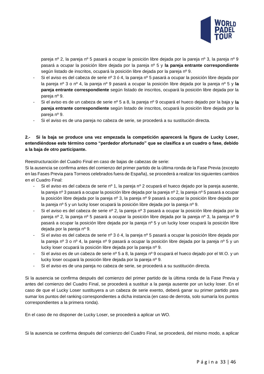

pareja nº 2, la pareja nº 5 pasará a ocupar la posición libre dejada por la pareja nº 3, la pareja nº 9 pasará a ocupar la posición libre dejada por la pareja nº 5 y **la pareja entrante correspondiente** según listado de inscritos, ocupará la posición libre dejada por la pareja nº 9.

- Si el aviso es del cabeza de serie nº 3 ó 4, la pareja nº 5 pasará a ocupar la posición libre dejada por la pareja nº 3 o nº 4, la pareja nº 9 pasará a ocupar la posición libre dejada por la pareja nº 5 y **la pareja entrante correspondiente** según listado de inscritos, ocupará la posición libre dejada por la pareja nº 9.
- Si el aviso es de un cabeza de serie nº 5 a 8, la pareja nº 9 ocupará el hueco dejado por la baja y **la pareja entrante correspondiente** según listado de inscritos, ocupará la posición libre dejada por la pareja nº 9.
- Si el aviso es de una pareja no cabeza de serie, se procederá a su sustitución directa.

#### **2.- Si la baja se produce una vez empezada la competición aparecerá la figura de Lucky Loser, entendiéndose este término como "perdedor afortunado" que se clasifica a un cuadro o fase, debido a la baja de otro participante.**

Reestructuración del Cuadro Final en caso de bajas de cabezas de serie:

Si la ausencia se confirma antes del comienzo del primer partido de la última ronda de la Fase Previa (excepto en las Fases Previa para Torneos celebrados fuera de España), se procederá a realizar los siguientes cambios en el Cuadro Final:

- Si el aviso es del cabeza de serie nº 1, la pareja nº 2 ocupará el hueco dejado por la pareja ausente, la pareja nº 3 pasará a ocupar la posición libre dejada por la pareja nº 2, la pareja nº 5 pasará a ocupar la posición libre dejada por la pareja nº 3, la pareja nº 9 pasará a ocupar la posición libre dejada por la pareja nº 5 y un lucky loser ocupará la posición libre dejada por la pareja nº 9.
- Si el aviso es del cabeza de serie nº 2, la pareja nº 3 pasará a ocupar la posición libre dejada por la pareja nº 2, la pareja nº 5 pasará a ocupar la posición libre dejada por la pareja nº 3, la pareja nº 9 pasará a ocupar la posición libre dejada por la pareja nº 5 y un lucky loser ocupará la posición libre dejada por la pareja nº 9.
- Si el aviso es del cabeza de serie nº 3 ó 4, la pareja nº 5 pasará a ocupar la posición libre dejada por la pareja nº 3 o nº 4, la pareja nº 9 pasará a ocupar la posición libre dejada por la pareja nº 5 y un lucky loser ocupará la posición libre dejada por la pareja nº 9.
- Si el aviso es de un cabeza de serie nº 5 a 8, la pareja nº 9 ocupará el hueco dejado por el W.O. y un lucky loser ocupará la posición libre dejada por la pareja nº 9.
- Si el aviso es de una pareja no cabeza de serie, se procederá a su sustitución directa.

Si la ausencia se confirma después del comienzo del primer partido de la última ronda de la Fase Previa y antes del comienzo del Cuadro Final, se procederá a sustituir a la pareja ausente por un lucky loser. En el caso de que el Lucky Loser sustituyera a un cabeza de serie exento, deberá ganar su primer partido para sumar los puntos del ranking correspondientes a dicha instancia (en caso de derrota, solo sumaría los puntos correspondientes a la primera ronda).

En el caso de no disponer de Lucky Loser, se procederá a aplicar un WO.

Si la ausencia se confirma después del comienzo del Cuadro Final, se procederá, del mismo modo, a aplicar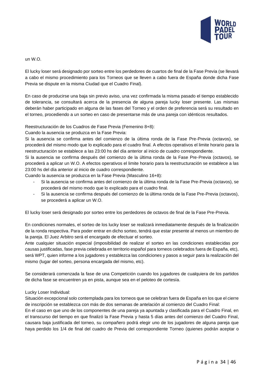

un W.O.

El lucky loser será designado por sorteo entre los perdedores de cuartos de final de la Fase Previa (se llevará a cabo el mismo procedimiento para los Torneos que se lleven a cabo fuera de España donde dicha Fase Previa se dispute en la misma Ciudad que el Cuadro Final).

En caso de producirse una baja sin previo aviso, una vez confirmada la misma pasado el tiempo establecido de tolerancia, se consultará acerca de la presencia de alguna pareja lucky loser presente. Las mismas deberán haber participado en alguna de las fases del Torneo y el orden de preferencia será su resultado en el torneo, procediendo a un sorteo en caso de presentarse más de una pareja con idénticos resultados.

Reestructuración de los Cuadros de Fase Previa (Femenino 8+8):

Cuando la ausencia se produzca en la Fase Previa:

Si la ausencia se confirma antes del comienzo de la última ronda de la Fase Pre-Previa (octavos), se procederá del mismo modo que lo explicado para el cuadro final. A efectos operativos el limite horario para la reestructuración se establece a las 23:00 hs del día anterior al inicio de cuadro correspondiente.

Si la ausencia se confirma después del comienzo de la última ronda de la Fase Pre-Previa (octavos), se procederá a aplicar un W.O. A efectos operativos el limite horario para la reestructuración se establece a las 23:00 hs del día anterior al inicio de cuadro correspondiente.

Cuando la ausencia se produzca en la Fase Previa (Masculino 16+8):

- Si la ausencia se confirma antes del comienzo de la última ronda de la Fase Pre-Previa (octavos), se procederá del mismo modo que lo explicado para el cuadro final.
- Si la ausencia se confirma después del comienzo de la última ronda de la Fase Pre-Previa (octavos), se procederá a aplicar un W.O.

El lucky loser será designado por sorteo entre los perdedores de octavos de final de la Fase Pre-Previa.

En condiciones normales, el sorteo de los lucky loser se realizará inmediatamente después de la finalización de la ronda respectiva. Para poder entrar en dicho sorteo, tendrá que estar presente al menos un miembro de la pareja. El Juez Arbitro será el encargado de efectuar el sorteo.

Ante cualquier situación especial (imposibilidad de realizar el sorteo en las condiciones establecidas por causas justificadas, fase previa celebrada en territorio español para torneos celebrados fuera de España, etc), será WPT, quien informe a los jugadores y establezca las condiciones y pasos a seguir para la realización del mismo (lugar del sorteo, persona encargada del mismo, etc).

Se considerará comenzada la fase de una Competición cuando los jugadores de cualquiera de los partidos de dicha fase se encuentren ya en pista, aunque sea en el peloteo de cortesía.

#### Lucky Loser Individual:

Situación excepcional solo contemplada para los torneos que se celebran fuera de España en los que el cierre de inscripción se establezca con más de dos semanas de antelación al comienzo del Cuadro Final:

En el caso en que uno de los componentes de una pareja ya apuntada y clasificada para el Cuadro Final, en el transcurso del tiempo en que finalizó la Fase Previa y hasta 5 días antes del comienzo del Cuadro Final, causara baja justificada del torneo, su compañero podrá elegir uno de los jugadores de alguna pareja que haya perdido los 1/4 de final del cuadro de Previa del correspondiente Torneo (quienes podrán aceptar o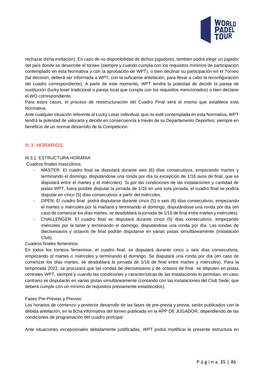

rechazar dicha invitación). En caso de no disponibilidad de dichos jugadores, también podrá elegir un jugador del país donde se desarrolle el torneo (siempre y cuando cumpla con los requisitos mínimos de participación contemplado en esta Normativa y con la aprobación de WPT), o bien declinar su participación en el Torneo (tal decisión, deberá ser informada a WPT, con la suficiente antelación, para llevar a cabo la reconfiguración del cuadro correspondiente). A partir de este momento, WPT tendrá la potestad de decidir la pareja de sustitución (lucky loser tradicional o pareja local que cumpla con los requisitos mencionados) o bien declarar el WO correspondiente.

Para estos casos, el proceso de reestructuración del Cuadro Final será el mismo que establece esta Normativa.

Ante cualquier situación referente al Lucky Loser individual, que no esté contemplada en esta Normativa, WPT tendrá la potestad de valorarla y decidir en consecuencia a través de su Departamento Deportivo, siempre en beneficio de un normal desarrollo de la Competición.

#### <span id="page-35-0"></span>III.3. HORARIOS

#### <span id="page-35-1"></span>III.3.1. ESTRUCTURA HORARIA

Cuadros finales masculinos:

- MASTER: El cuadro final se disputará durante seis (6) días consecutivos, empezando martes y terminando el domingo, disputándose una ronda por día (a excepción de 1/16 avos de final, que se disputará entre el martes y el miércoles). Si por las condiciones de las instalaciones y cantidad de pistas WPT, fuera posible disputar la jornada de 1/16 en una sola jornada, el cuadro final se podría disputar en cinco (5) días consecutivos a partir del miércoles.
- OPEN: El cuadro final podrá disputarse durante cinco (5) o seis (6) días consecutivos, empezando el martes o miércoles por la mañana y terminando el domingo, disputándose una ronda por día (en caso de comenzar los días martes, se desdoblará la jornada de 1/16 de final entre martes y miércoles).
- CHALLENGER: El cuadro final se disputará durante cinco (5) días consecutivos, empezando miércoles por la tarde y terminando el domingo, disputándose una ronda por día. Las rondas de dieciseisavos y octavos de final podrán disputarse en varias pistas simultáneamente (instalación Club).

#### Cuadros finales femeninos:

En todos los torneos femeninos, el cuadro final, se disputará durante cinco o seis días consecutivos, empezando el martes o miércoles y terminando el domingo. Se disputará una ronda por día (en caso de comenzar los días martes, se desdoblará la jornada de 1/16 de final entre martes y miércoles). Para la temporada 2022, se procurará que las rondas de dieciseisavos y de octavos de final se disputen en pistas centrales WPT, siempre y cuando las condiciones y características de las instalaciones lo permitan, en caso contrario se disputarán en varias pistas simultáneamente (contando con las instalaciones del Club Sede, que deberá cumplir con un mínimo de requisitos previamente establecidos).

#### Fases Pre-Previas y Previas:

Los horarios de comienzo y posterior desarrollo de las fases de pre-previa y previa, serán publicados con la debida antelación, en la ficha informativa del torneo publicada en la APP DE JUGADOR, dependiendo de las condiciones de programación del cuadro principal

Ante situaciones excepcionales debidamente justificadas, WPT podrá modificar la presente estructura en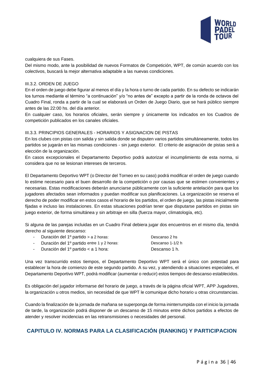

cualquiera de sus Fases.

Del mismo modo, ante la posibilidad de nuevos Formatos de Competición, WPT, de común acuerdo con los colectivos, buscará la mejor alternativa adaptable a las nuevas condiciones.

#### <span id="page-36-0"></span>III.3.2. ORDEN DE JUEGO

En el orden de juego debe figurar al menos el día y la hora o turno de cada partido. En su defecto se indicarán los turnos mediante el término "a continuación" y/o "no antes de" excepto a partir de la ronda de octavos del Cuadro Final, ronda a partir de la cual se elaborará un Orden de Juego Diario, que se hará público siempre antes de las 22:00 hs. del día anterior.

En cualquier caso, los horarios oficiales, serán siempre y únicamente los indicados en los Cuadros de competición publicados en los canales oficiales.

#### <span id="page-36-1"></span>III.3.3. PRINCIPIOS GENERALES - HORARIOS Y ASIGNACION DE PISTAS

En los clubes con pistas con salida y sin salida donde se disputen varios partidos simultáneamente, todos los partidos se jugarán en las mismas condiciones - sin juego exterior. El criterio de asignación de pistas será a elección de la organización.

En casos excepcionales el Departamento Deportivo podrá autorizar el incumplimiento de esta norma, si considera que no se lesionan intereses de terceros.

El Departamento Deportivo WPT (o Director del Torneo en su caso) podrá modificar el orden de juego cuando lo estime necesario para el buen desarrollo de la competición o por causas que se estimen convenientes y necesarias. Estas modificaciones deberán anunciarse públicamente con la suficiente antelación para que los jugadores afectados sean informados y puedan modificar sus planificaciones. La organización se reserva el derecho de poder modificar en estos casos el horario de los partidos, el orden de juego, las pistas inicialmente fijadas e incluso las instalaciones. En estas situaciones podrían tener que disputarse partidos en pistas sin juego exterior, de forma simultánea y sin arbitraje en silla (fuerza mayor, climatología, etc).

Si alguna de las parejas incluidas en un Cuadro Final debiera jugar dos encuentros en el mismo día, tendrá derecho al siguiente descanso:

| - Duración del 1º partido > a 2 horas:       | Descanso 2 hs    |
|----------------------------------------------|------------------|
| - Duración del 1º partido entre 1 y 2 horas: | Descanso 1-1/2 h |
| - Duración del 1º partido $\lt$ a 1 hora:    | Descanso 1 h.    |

Una vez transcurrido estos tiempos, el Departamento Deportivo WPT será el único con potestad para establecer la hora de comienzo de este segundo partido. A su vez, y atendiendo a situaciones especiales, el Departamento Deportivo WPT, podrá modificar (aumentar o reducir) estos tiempos de descanso establecidos.

Es obligación del jugador informarse del horario de juego, a través de la página oficial WPT, APP Jugadores, la organización u otros medios, sin necesidad de que WPT le comunique dicho horario u otras circunstancias.

Cuando la finalización de la jornada de mañana se superponga de forma ininterrumpida con el inicio la jornada de tarde, la organización podrá disponer de un descanso de 15 minutos entre dichos partidos a efectos de atender y resolver incidencias en las retransmisiones o necesidades del personal.

# <span id="page-36-2"></span>**CAPITULO IV. NORMAS PARA LA CLASIFICACIÓN (RANKING) Y PARTICIPACION**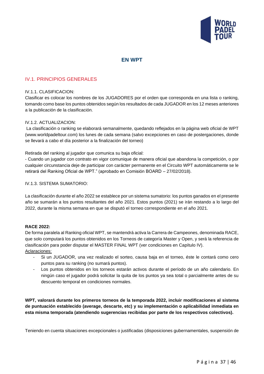

# **EN WPT**

## <span id="page-37-0"></span>IV.1. PRINCIPIOS GENERALES

#### <span id="page-37-1"></span>IV.1.1. CLASIFICACION:

Clasificar es colocar los nombres de los JUGADORES por el orden que corresponda en una lista o ranking, tomando como base los puntos obtenidos según los resultados de cada JUGADOR en los 12 meses anteriores a la publicación de la clasificación.

#### <span id="page-37-2"></span>IV.1.2. ACTUALIZACION:

La clasificación o ranking se elaborará semanalmente, quedando reflejados en la página web oficial de WPT (www.worldpadeltour.com) los lunes de cada semana (salvo excepciones en caso de postergaciones, donde se llevará a cabo el día posterior a la finalización del torneo)

Retirada del ranking al jugador que comunica su baja oficial:

- Cuando un jugador con contrato en vigor comunique de manera oficial que abandona la competición, o por cualquier circunstancia deje de participar con carácter permanente en el Circuito WPT automáticamente se le retirará del Ranking Oficial de WPT." (aprobado en Comisión BOARD – 27/02/2018).

#### <span id="page-37-3"></span>IV.1.3. SISTEMA SUMATORIO:

La clasificación durante el año 2022 se establece por un sistema sumatorio: los puntos ganados en el presente año se sumarán a los puntos resultantes del año 2021. Estos puntos (2021) se irán restando a lo largo del 2022, durante la misma semana en que se disputó el torneo correspondiente en el año 2021.

#### **RACE 2022:**

De forma paralela al Ranking oficial WPT, se mantendrá activa la Carrera de Campeones, denominada RACE, que solo computará los puntos obtenidos en los Torneos de categoría Master y Open, y será la referencia de clasificación para poder disputar el MASTER FINAL WPT (ver condiciones en Capítulo IV). Aclaraciones:

- Si un JUGADOR, una vez realizado el sorteo, causa baja en el torneo, éste le contará como cero puntos para su ranking (no sumará puntos).
- Los puntos obtenidos en los torneos estarán activos durante el período de un año calendario. En ningún caso el jugador podrá solicitar la quita de los puntos ya sea total o parcialmente antes de su descuento temporal en condiciones normales.

**WPT, valorará durante los primeros torneos de la temporada 2022, incluir modificaciones al sistema de puntuación establecido (average, descarte, etc) y su implementación o aplicabilidad inmediata en esta misma temporada (atendiendo sugerencias recibidas por parte de los respectivos colectivos).** 

Teniendo en cuenta situaciones excepcionales o justificadas (disposiciones gubernamentales, suspensión de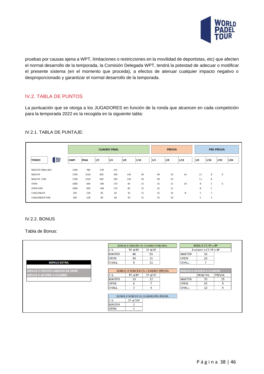

pruebas por causas ajena a WPT, limitaciones o restricciones en la movilidad de deportistas, etc) que afecten el normal desarrollo de la temporada, la Comisión Delegada WPT, tendrá la potestad de adecuar o modificar el presente sistema (en el momento que proceda), a efectos de atenuar cualquier impacto negativo o desproporcionado y garantizar el normal desarrollo de la temporada.

# <span id="page-38-0"></span>IV.2. TABLA DE PUNTOS

La puntuación que se otorga a los JUGADORES en función de la ronda que alcancen en cada competición para la temporada 2022 es la recogida en la siguiente tabla:

#### <span id="page-38-1"></span>IV.2.1. TABLA DE PUNTAJE:

|                                         |       | <b>CUADRO FINAL</b> |     |     |     |      | <b>PRE-PREVIA</b> |     |      |     |      |          |      |
|-----------------------------------------|-------|---------------------|-----|-----|-----|------|-------------------|-----|------|-----|------|----------|------|
| WORLD<br>PADEL<br>TOUR<br><b>TORNEO</b> | CAMP. | <b>FINAL</b>        | 1/2 | 1/4 | 1/8 | 1/16 | 1/4               | 1/8 | 1/16 | 1/8 | 1/16 | 1/32     | 1/64 |
| <b>MASTER FINAL M/F</b>                 | 1300  | 780                 | 470 | 235 |     |      |                   |     |      |     |      |          |      |
| <b>MASTER</b>                           | 1700  | 1020                | 600 | 300 | 140 | 40   | 40                | 20  | 16   | 13  | 8    | $\bf{0}$ |      |
| <b>MASTER FEM</b>                       | 1700  | 1020                | 600 | 300 | 140 | 40   | 40                | 20  |      | 13  | 8    |          |      |
| <b>OPEN</b>                             | 1000  | 600                 | 340 | 170 | 85  | 25   | 25                | 15  | 10   | 8   | 5    | $\bf{0}$ |      |
| <b>OPEN FEM</b>                         | 1000  | 600                 | 340 | 170 | 85  | 25   | 25                | 15  |      | 8   | 5    |          |      |
| <b>CHALLENGER</b>                       | 204   | 128                 | 85  | 60  | 43  | 15   | 15                | 10  | 8    | 5   | 3    |          |      |
| <b>CHALLENGER FEM</b>                   | 204   | 128                 | 85  | 60  | 43  | 15   | 15                | 10  |      | 5   | 3    |          |      |

## <span id="page-38-2"></span>IV.2.2. BONUS

#### Tabla de Bonus:

|                                        |                                      | <b>BONUS X VENCER CS: CUADRO PRINCIPAL</b>                                          |                                     | BONUS CS $5^{\circ}$ a $8^{\circ}$ |               |                                |               |
|----------------------------------------|--------------------------------------|-------------------------------------------------------------------------------------|-------------------------------------|------------------------------------|---------------|--------------------------------|---------------|
|                                        | C.S.                                 | $5^{\circ}$ al $8^{\circ}$                                                          | $1°$ al 4 <sup><math>°</math></sup> |                                    |               | X vencer a $CS$ 1º a 4º        |               |
|                                        | <b>MASTER</b>                        | 48                                                                                  | 55                                  |                                    | <b>MASTER</b> | 30                             |               |
|                                        | <b>OPEN</b>                          | 30                                                                                  | 35                                  |                                    | <b>OPEN</b>   | 20                             |               |
| <b>BONUS EXTRA</b>                     | <b>CHALL.</b>                        | 9                                                                                   | 11                                  |                                    | CHALL.        | 7                              |               |
|                                        |                                      |                                                                                     |                                     |                                    |               |                                |               |
| <b>BONUS X VENCER CABEZAS DE SERIE</b> |                                      | <b>BONUS X VENCER CS: CUADRO PREVIA</b>                                             |                                     |                                    |               | <b>BONUS X ACCESO A CUADRO</b> |               |
| <b>BONUS X ACCESO A CUADRO</b>         | C.S.                                 | $5^{\circ}$ al $8^{\circ}$                                                          | $1°$ al 4 <sup><math>°</math></sup> |                                    |               | <b>PRINCIPAL</b>               | <b>PREVIA</b> |
|                                        | <b>MASTER</b>                        | 10                                                                                  | 12                                  |                                    | <b>MASTER</b> | 70                             | 15            |
|                                        | <b>OPEN</b>                          | 6                                                                                   | 7                                   |                                    | <b>OPEN</b>   | 45                             | 9             |
|                                        | CHALL.                               | 3                                                                                   | 4                                   |                                    | CHALL.        | 12                             | 4             |
|                                        | C.S.<br><b>MASTER</b><br><b>OPEN</b> | <b>BONUS X VENCER CS: CUADRO PRE-PREVIA</b><br>$1°$ al $16°$<br>$\overline{2}$<br>1 |                                     |                                    |               |                                |               |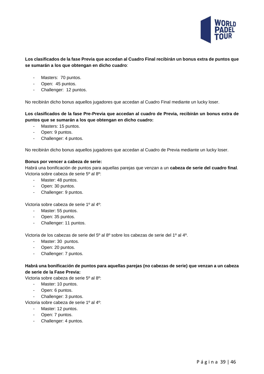

#### **Los clasificados de la fase Previa que accedan al Cuadro Final recibirán un bonus extra de puntos que se sumarán a los que obtengan en dicho cuadro**:

- Masters: 70 puntos.
- Open: 45 puntos.
- Challenger: 12 puntos.

No recibirán dicho bonus aquellos jugadores que accedan al Cuadro Final mediante un lucky loser.

#### **Los clasificados de la fase Pre-Previa que accedan al cuadro de Previa, recibirán un bonus extra de puntos que se sumarán a los que obtengan en dicho cuadro:**

- Masters: 15 puntos.
- Open: 9 puntos.
- Challenger: 4 puntos.

No recibirán dicho bonus aquellos jugadores que accedan al Cuadro de Previa mediante un lucky loser.

#### **Bonus por vencer a cabeza de serie:**

Habrá una bonificación de puntos para aquellas parejas que venzan a un **cabeza de serie del cuadro final**. Victoria sobre cabeza de serie 5º al 8º:

- Master: 48 puntos.
- Open: 30 puntos.
- Challenger: 9 puntos.

Victoria sobre cabeza de serie 1º al 4º:

- Master: 55 puntos.
- Open: 35 puntos.
- Challenger: 11 puntos.

Victoria de los cabezas de serie del 5º al 8º sobre los cabezas de serie del 1º al 4º.

- Master: 30 puntos.
- Open: 20 puntos.
- Challenger: 7 puntos.

#### **Habrá una bonificación de puntos para aquellas parejas (no cabezas de serie) que venzan a un cabeza de serie de la Fase Previa:**

Victoria sobre cabeza de serie 5º al 8º:

- Master: 10 puntos.
- Open: 6 puntos.

Challenger: 3 puntos.

Victoria sobre cabeza de serie 1º al 4º:

- Master: 12 puntos.
- Open: 7 puntos.
- Challenger: 4 puntos.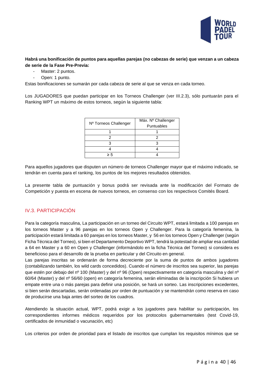

#### **Habrá una bonificación de puntos para aquellas parejas (no cabezas de serie) que venzan a un cabeza de serie de la Fase Pre-Previa:**

- Master: 2 puntos.
- Open: 1 punto.

Estas bonificaciones se sumarán por cada cabeza de serie al que se venza en cada torneo.

Los JUGADORES que puedan participar en los Torneos Challenger (ver III.2.3), sólo puntuarán para el Ranking WPT un máximo de estos torneos, según la siguiente tabla:

| Nº Torneos Challenger | Máx. Nº Challenger |
|-----------------------|--------------------|
|                       | Puntuables         |
|                       |                    |
|                       |                    |
|                       |                    |
|                       |                    |
| > 5                   |                    |

Para aquellos jugadores que disputen un número de torneos Challenger mayor que el máximo indicado, se tendrán en cuenta para el ranking, los puntos de los mejores resultados obtenidos.

La presente tabla de puntuación y bonus podrá ser revisada ante la modificación del Formato de Competición y puesta en escena de nuevos torneos, en consenso con los respectivos Comités Board.

# <span id="page-40-0"></span>IV.3. PARTICIPACIÓN

Para la categoría masculina, La participación en un torneo del Circuito WPT, estará limitada a 100 parejas en los torneos Master y a 96 parejas en los torneos Open y Challenger. Para la categoría femenina, la participación estará limitada a 60 parejas en los torneos Master, y 56 en los torneos Open y Challenger (según Ficha Técnica del Torneo), si bien el Departamento Deportivo WPT, tendrá la potestad de ampliar esa cantidad a 64 en Master y a 60 en Open y Challenger (informándolo en la ficha Técnica del Torneo) si considera es beneficioso para el desarrollo de la prueba en particular y del Circuito en general.

Las parejas inscritas se ordenarán de forma decreciente por la suma de puntos de ambos jugadores (contabilizando también, los wild cards concedidos). Cuando el número de inscritos sea superior, las parejas que estén por debajo del nº 100 (Master) y del nº 96 (Open) respectivamente en categoría masculina y del nº 60/64 (Master) y del nº 56/60 (open) en categoría femenina, serán eliminadas de la inscripción Si hubiera un empate entre una o más parejas para definir una posición, se hará un sorteo. Las inscripciones excedentes, si bien serán descartadas, serán ordenadas por orden de puntuación y se mantendrán como reserva en caso de producirse una baja antes del sorteo de los cuadros.

Atendiendo la situación actual, WPT, podrá exigir a los jugadores para habilitar su participación, los correspondientes informes médicos requeridos por los protocolos gubernamentales (test Covid-19, certificados de inmunidad o vacunación, etc)

Los criterios por orden de prioridad para el listado de inscritos que cumplan los requisitos mínimos que se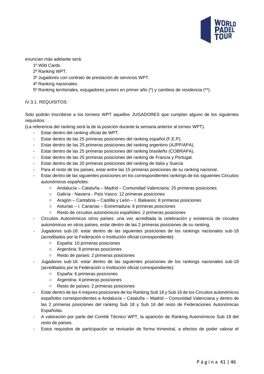

enuncian más adelante será:

- 1º Wild Cards.
- 2º Ranking WPT.
- 3º Jugadores con contrato de prestación de servicios WPT.
- 4º Ranking nacionales.
- 5º Ranking territoriales, exjugadores juniors en primer año (\*) y cambios de residencia (\*\*).

#### <span id="page-41-0"></span>IV.3.1. REQUISITOS:

Solo podrán inscribirse a los torneos WPT aquellos JUGADORES que cumplan alguno de los siguientes requisitos:

(La referencia del ranking será la de la posición durante la semana anterior al torneo WPT).

- Estar dentro del ranking oficial de WPT.
- Estar dentro de las 25 primeras posiciones del ranking español (F.E.P).
- Estar dentro de las 25 primeras posiciones del ranking argentino (AJPP/APA).
- Estar dentro de las 25 primeras posiciones del ranking brasileño (COBRAPA).
- Estar dentro de las 25 primeras posiciones del ranking de Francia y Portugal.
- Estar dentro de las 20 primeras posiciones del ranking de Italia y Suecia
- Para el resto de los países, estar entre las 15 primeras posiciones de su ranking nacional.
- Estar dentro de las siguientes posiciones en los correspondientes rankings de los siguientes Circuitos autonómicos españoles:
	- o Andalucía Cataluña Madrid Comunidad Valenciana: 25 primeras posiciones
	- o Galicia Navarra País Vasco: 12 primeras posiciones
	- o Aragón Cantabria Castilla y León I. Baleares: 8 primeras posiciones
	- o Asturias I. Canarias Extremadura: 6 primeras posiciones
	- o Resto de circuitos autonómicos españoles: 2 primeras posiciones
- Circuitos Autonómicos otros países: una vez acreditada la celebración y existencia de circuitos autonómicos en otros países, estar dentro de las 2 primeras posiciones de su ranking.
- Jugadores sub-18: estar dentro de las siguientes posiciones de los rankings nacionales sub-18 (acreditados por la Federación o Institución oficial correspondiente):
	- o España: 10 primeras posiciones
	- o Argentina: 8 primeras posiciones
	- o Resto de países: 2 primeras posiciones
- Jugadores sub-16: estar dentro de las siguientes posiciones de los rankings nacionales sub-18 (acreditados por la Federación o Institución oficial correspondiente):
	- o España: 6 primeras posiciones
	- o Argentina: 4 primeras posiciones
	- o Resto de países: 2 primeras posiciones
- Estar dentro de las 4 mejores posiciones de los Ranking Sub 18 y Sub 16 de los Circuitos autonómicos españoles correspondientes a Andalucía – Cataluña – Madrid – Comunidad Valenciana y dentro de las 2 primeras posiciones del ranking Sub 18 y Sub 16 del resto de Federaciones Autonómicas Españolas.
- A valoración por parte del Comité Técnico WPT, la aparición de Ranking Autonómicos Sub 18 del resto de países.
- Estos requisitos de participación se revisarán de forma trimestral, a efectos de poder valorar el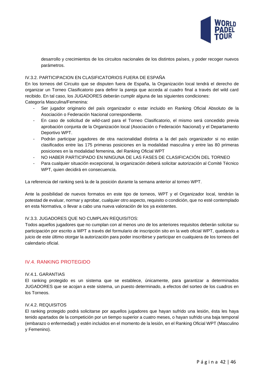

desarrollo y crecimientos de los circuitos nacionales de los distintos países, y poder recoger nuevos parámetros.

#### <span id="page-42-0"></span>IV.3.2. PARTICIPACION EN CLASIFICATORIOS FUERA DE ESPAÑA

En los torneos del Circuito que se disputen fuera de España, la Organización local tendrá el derecho de organizar un Torneo Clasificatorio para definir la pareja que acceda al cuadro final a través del wild card recibido. En tal caso, los JUGADORES deberán cumplir alguna de las siguientes condiciones: Categoría Masculina/Femenina:

- Ser jugador originario del país organizador o estar incluido en Ranking Oficial Absoluto de la Asociación o Federación Nacional correspondiente.
- En caso de solicitud de wild-card para el Torneo Clasificatorio, el mismo será concedido previa aprobación conjunta de la Organización local (Asociación o Federación Nacional) y el Departamento Deportivo WPT.
- Podrán participar jugadores de otra nacionalidad distinta a la del país organizador si no están clasificados entre las 175 primeras posiciones en la modalidad masculina y entre las 80 primeras posiciones en la modalidad femenina, del Ranking Oficial WPT
- NO HABER PARTICIPADO EN NINGUNA DE LAS FASES DE CLASIFICACIÓN DEL TORNEO
- Para cualquier situación excepcional, la organización deberá solicitar autorización al Comité Técnico WPT, quien decidirá en consecuencia.

La referencia del ranking será la de la posición durante la semana anterior al torneo WPT.

Ante la posibilidad de nuevos formatos en este tipo de torneos, WPT y el Organizador local, tendrán la potestad de evaluar, normar y aprobar, cualquier otro aspecto, requisito o condición, que no esté contemplado en esta Normativa, o llevar a cabo una nueva valoración de los ya existentes.

#### <span id="page-42-1"></span>IV.3.3. JUGADORES QUE NO CUMPLAN REQUISITOS:

Todos aquellos jugadores que no cumplan con al menos uno de los anteriores requisitos deberán solicitar su participación por escrito a WPT a través del formulario de inscripción sito en la web oficial WPT, quedando a juicio de este último otorgar la autorización para poder inscribirse y participar en cualquiera de los torneos del calendario oficial.

#### <span id="page-42-2"></span>IV.4. RANKING PROTEGIDO

#### <span id="page-42-3"></span>IV.4.1. GARANTIAS

El ranking protegido es un sistema que se establece, únicamente, para garantizar a determinados JUGADORES que se acojan a este sistema, un puesto determinado, a efectos del sorteo de los cuadros en los Torneos.

#### <span id="page-42-4"></span>IV.4.2. REQUISITOS

El ranking protegido podrá solicitarse por aquellos jugadores que hayan sufrido una lesión, ésta les haya tenido apartados de la competición por un tiempo superior a cuatro meses, o hayan sufrido una baja temporal (embarazo o enfermedad) y estén incluidos en el momento de la lesión, en el Ranking Oficial WPT (Masculino y Femenino).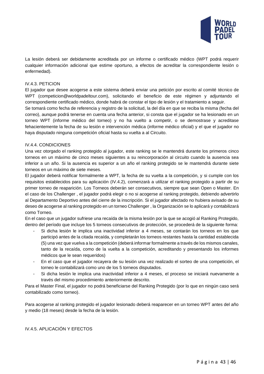

La lesión deberá ser debidamente acreditada por un informe o certificado médico (WPT podrá requerir cualquier información adicional que estime oportuno, a efectos de acreditar la correspondiente lesión o enfermedad).

#### <span id="page-43-0"></span>IV.4.3. PETICION

El jugador que desee acogerse a este sistema deberá enviar una petición por escrito al comité técnico de WPT (competicion@worldpadeltour.com), solicitando el beneficio de este régimen y adjuntando el correspondiente certificado médico, donde habrá de constar el tipo de lesión y el tratamiento a seguir.

Se tomará como fecha de referencia y registro de la solicitud, la del día en que se reciba la misma (fecha del correo), aunque podrá tenerse en cuenta una fecha anterior, si consta que el jugador se ha lesionado en un torneo WPT (informe médico del torneo) y no ha vuelto a competir, o se demostrase y acreditase fehacientemente la fecha de su lesión e intervención médica (informe médico oficial) y el que el jugador no haya disputado ninguna competición oficial hasta su vuelta a al Circuito.

#### <span id="page-43-1"></span>IV.4.4. CONDICIONES

Una vez otorgado el ranking protegido al jugador, este ranking se le mantendrá durante los primeros cinco torneos en un máximo de cinco meses siguientes a su reincorporación al circuito cuando la ausencia sea inferior a un año. Si la ausencia es superior a un año el ranking protegido se le mantendrá durante siete torneos en un máximo de siete meses.

El jugador deberá notificar formalmente a WPT, la fecha de su vuelta a la competición, y si cumple con los requisitos establecidos para su aplicación (IV.4.2), comenzará a utilizar el ranking protegido a partir de su primer torneo de reaparición. Los Torneos deberán ser consecutivos, siempre que sean Open o Master. En el caso de los Challenger , el jugador podrá elegir o no si acogerse al ranking protegido, debiendo advertirlo al Departamento Deportivo antes del cierre de la inscripción. Si el jugador afectado no hubiera avisado de su deseo de acogerse al ranking protegido en un torneo Challenger , la Organización se lo aplicará y contabilizará como Torneo.

En el caso que un jugador sufriese una recaída de la misma lesión por la que se acogió al Ranking Protegido, dentro del período que incluye los 5 torneos consecutivos de protección, se procederá de la siguiente forma:

- Si dicha lesión le implica una inactividad inferior a 4 meses, se contarán los torneos en los que participó antes de la citada recaída, y completarán los torneos restantes hasta la cantidad establecida (5) una vez que vuelva a la competición (deberá informar formalmente a través de los mismos canales, tanto de la recaída, como de la vuelta a la competición, acreditando y presentando los informes médicos que le sean requeridos)
- En el caso que el jugador recayera de su lesión una vez realizado el sorteo de una competición, el torneo le contabilizará como uno de los 5 torneos disputados.
- Si dicha lesión le implica una inactividad inferior a 4 meses, el proceso se iniciará nuevamente a través del mismo procedimiento anteriormente descrito.

Para el Master Final, el jugador no podrá beneficiarse del Ranking Protegido (por lo que en ningún caso será contabilizado como torneo).

Para acogerse al ranking protegido el jugador lesionado deberá reaparecer en un torneo WPT antes del año y medio (18 meses) desde la fecha de la lesión.

<span id="page-43-2"></span>IV.4.5. APLICACIÓN Y EFECTOS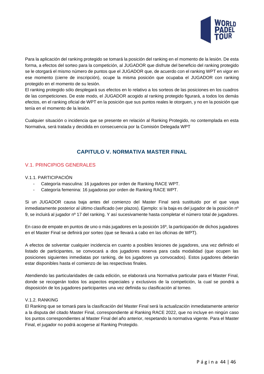<span id="page-44-0"></span>

Para la aplicación del ranking protegido se tomará la posición del ranking en el momento de la lesión. De esta forma, a efectos del sorteo para la competición, al JUGADOR que disfrute del beneficio del ranking protegido se le otorgará el mismo número de puntos que el JUGADOR que, de acuerdo con el ranking WPT en vigor en ese momento (cierre de inscripción), ocupe la misma posición que ocupaba el JUGADOR con ranking protegido en el momento de su lesión.

El ranking protegido sólo desplegará sus efectos en lo relativo a los sorteos de las posiciones en los cuadros de las competiciones. De este modo, el JUGADOR acogido al ranking protegido figurará, a todos los demás efectos, en el ranking oficial de WPT en la posición que sus puntos reales le otorguen, y no en la posición que tenía en el momento de la lesión.

Cualquier situación o incidencia que se presente en relación al Ranking Protegido, no contemplada en esta Normativa, será tratada y decidida en consecuencia por la Comisión Delegada WPT

# **CAPITULO V. NORMATIVA MASTER FINAL**

## <span id="page-44-1"></span>V.1. PRINCIPIOS GENERALES

#### <span id="page-44-2"></span>V.1.1. PARTICIPACIÓN

- Categoría masculina: 16 jugadores por orden de Ranking RACE WPT.
- Categoría femenina: 16 jugadoras por orden de Ranking RACE WPT.

Si un JUGADOR causa baja antes del comienzo del Master Final será sustituido por el que vaya inmediatamente posterior al último clasificado (ver plazos). Ejemplo: si la baja es del jugador de la posición nº 9, se incluirá al jugador nº 17 del ranking. Y así sucesivamente hasta completar el número total de jugadores.

En caso de empate en puntos de uno o más jugadores en la posición 16º, la participación de dichos jugadores en el Master Final se definirá por sorteo (que se llevará a cabo en las oficinas de WPT).

A efectos de solventar cualquier incidencia en cuanto a posibles lesiones de jugadores, una vez definido el listado de participantes, se convocará a dos jugadores reserva para cada modalidad (que ocupen las posiciones siguientes inmediatas por ranking, de los jugadores ya convocados). Estos jugadores deberán estar disponibles hasta el comienzo de las respectivas finales.

Atendiendo las particularidades de cada edición, se elaborará una Normativa particular para el Master Final, donde se recogerán todos los aspectos especiales y exclusivos de la competición, la cual se pondrá a disposición de los jugadores participantes una vez definida su clasificación al torneo.

#### <span id="page-44-3"></span>V.1.2. RANKING

El Ranking que se tomará para la clasificación del Master Final será la actualización inmediatamente anterior a la disputa del citado Master Final, correspondiente al Ranking RACE 2022, que no incluye en ningún caso los puntos correspondientes al Master Final del año anterior, respetando la normativa vigente. Para el Master Final, el jugador no podrá acogerse al Ranking Protegido.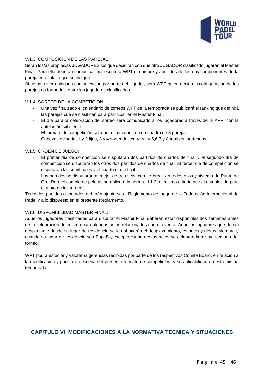

#### <span id="page-45-0"></span>V.1.3. COMPOSICION DE LAS PAREJAS

Serán los/as propios/as JUGADORES los que decidirán con que otro JUGADOR clasificado jugarán el Master Final. Para ello deberán comunicar por escrito a WPT el nombre y apellidos de los dos componentes de la pareja en el plazo que se indique.

Si no se tuviera ninguna comunicación por parte del jugador, será WPT quién decida la configuración de las parejas no formadas, entre los jugadores clasificados.

#### <span id="page-45-1"></span>V.1.4. SORTEO DE LA COMPETICION:

- Una vez finalizado el calendario de torneos WPT de la temporada se publicará el ranking que definirá las parejas que se clasifican para participar en el Master Final.
- El día para la celebración del sorteo será comunicado a los jugadores a través de la APP, con la antelación suficiente.
- El formato de competición será por eliminatoria en un cuadro de 8 parejas
- Cabezas de serie: 1 y 2 fijos, 3 y 4 sorteados entre sí; y 5,6,7 y 8 también sorteados.

#### <span id="page-45-2"></span>V.1.5. ORDEN DE JUEGO:

- El primer día de competición se disputarán dos partidos de cuartos de final y el segundo día de competición se disputarán los otros dos partidos de cuartos de final. El tercer día de competición se disputarán las semifinales y el cuarto día la final.
- Los partidos se disputarán al mejor de tres sets, con tie-break en todos ellos y sistema de Punto de Oro. Para el cambio de pelotas se aplicará la norma III.1.2, el mismo criterio que el establecido para el resto de los torneos.

Todos los partidos disputados deberán ajustarse al Reglamento de juego de la Federación Internacional de Padel y a lo dispuesto en el presente Reglamento.

#### <span id="page-45-3"></span>V.1.6. DISPONIBILIDAD MASTER FINAL:

Aquellos jugadores clasificados para disputar el Master Final deberán estar disponibles dos semanas antes de la celebración del mismo para algunos actos relacionados con el evento. Aquellos jugadores que deban desplazarse desde su lugar de residencia se les abonarán el desplazamiento, estancia y dietas, siempre y cuando su lugar de residencia sea España, excepto cuando estos actos se celebren la misma semana del torneo.

<span id="page-45-4"></span>WPT podrá estudiar y valorar sugerencias recibidas por parte de los respectivos Comité Board, en relación a la modificación y puesta en escena del presente formato de competición, y su aplicabilidad en esta misma temporada.

#### **CAPITULO VI. MODIFICACIONES A LA NORMATIVA TECNICA Y SITUACIONES**